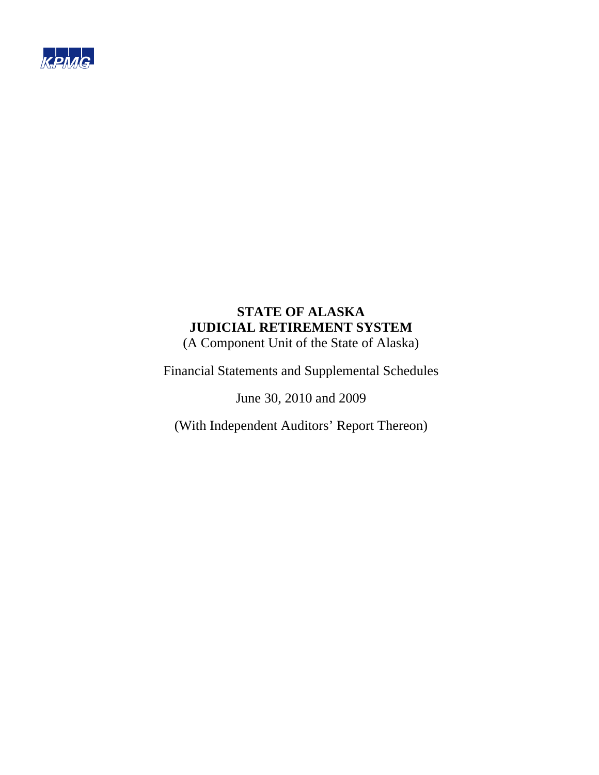

# **STATE OF ALASKA JUDICIAL RETIREMENT SYSTEM**  (A Component Unit of the State of Alaska)

Financial Statements and Supplemental Schedules

June 30, 2010 and 2009

(With Independent Auditors' Report Thereon)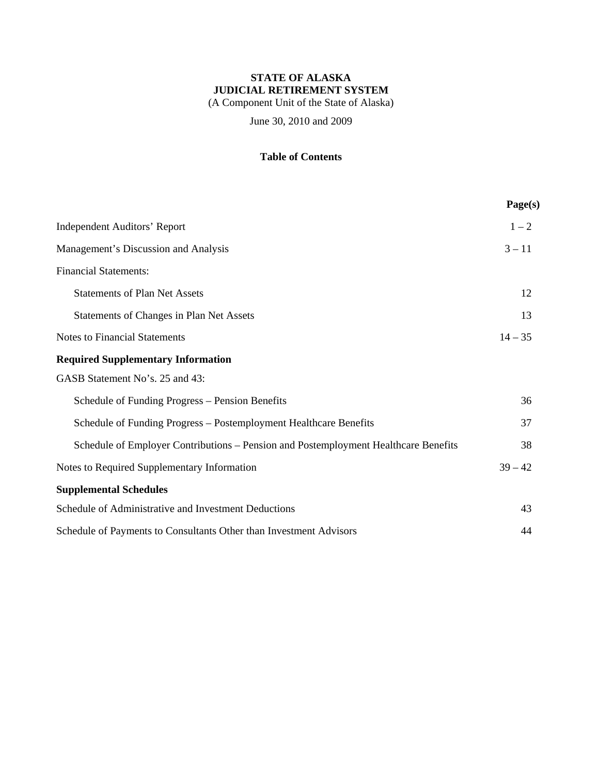(A Component Unit of the State of Alaska)

June 30, 2010 and 2009

### **Table of Contents**

|                                                                                     | Page(s)   |
|-------------------------------------------------------------------------------------|-----------|
| <b>Independent Auditors' Report</b>                                                 | $1 - 2$   |
| Management's Discussion and Analysis                                                | $3 - 11$  |
| <b>Financial Statements:</b>                                                        |           |
| <b>Statements of Plan Net Assets</b>                                                | 12        |
| Statements of Changes in Plan Net Assets                                            | 13        |
| <b>Notes to Financial Statements</b>                                                | $14 - 35$ |
| <b>Required Supplementary Information</b>                                           |           |
| GASB Statement No's. 25 and 43:                                                     |           |
| Schedule of Funding Progress – Pension Benefits                                     | 36        |
| Schedule of Funding Progress - Postemployment Healthcare Benefits                   | 37        |
| Schedule of Employer Contributions – Pension and Postemployment Healthcare Benefits | 38        |
| Notes to Required Supplementary Information                                         | $39 - 42$ |
| <b>Supplemental Schedules</b>                                                       |           |
| Schedule of Administrative and Investment Deductions                                | 43        |
| Schedule of Payments to Consultants Other than Investment Advisors                  | 44        |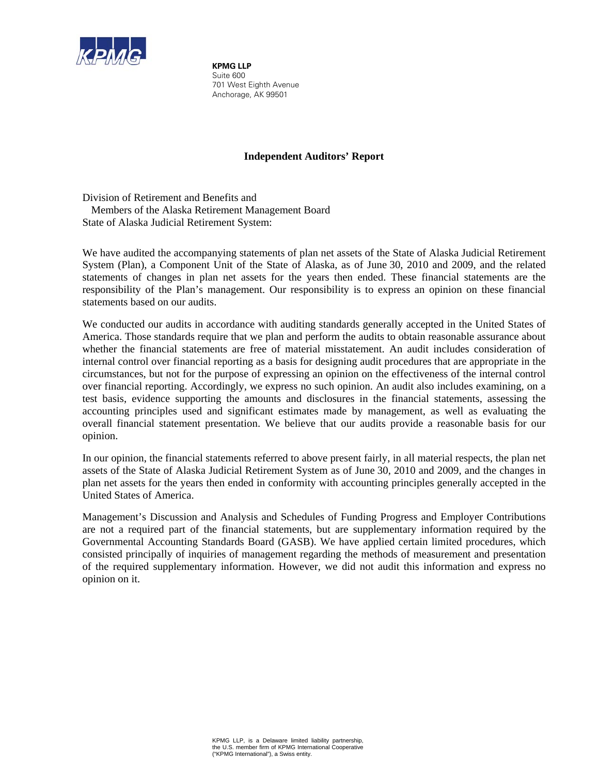

**KPMG LLP** Suite 600 701 West Eighth Avenue Anchorage, AK 99501

### **Independent Auditors' Report**

Division of Retirement and Benefits and Members of the Alaska Retirement Management Board State of Alaska Judicial Retirement System:

We have audited the accompanying statements of plan net assets of the State of Alaska Judicial Retirement System (Plan), a Component Unit of the State of Alaska, as of June 30, 2010 and 2009, and the related statements of changes in plan net assets for the years then ended. These financial statements are the responsibility of the Plan's management. Our responsibility is to express an opinion on these financial statements based on our audits.

We conducted our audits in accordance with auditing standards generally accepted in the United States of America. Those standards require that we plan and perform the audits to obtain reasonable assurance about whether the financial statements are free of material misstatement. An audit includes consideration of internal control over financial reporting as a basis for designing audit procedures that are appropriate in the circumstances, but not for the purpose of expressing an opinion on the effectiveness of the internal control over financial reporting. Accordingly, we express no such opinion. An audit also includes examining, on a test basis, evidence supporting the amounts and disclosures in the financial statements, assessing the accounting principles used and significant estimates made by management, as well as evaluating the overall financial statement presentation. We believe that our audits provide a reasonable basis for our opinion.

In our opinion, the financial statements referred to above present fairly, in all material respects, the plan net assets of the State of Alaska Judicial Retirement System as of June 30, 2010 and 2009, and the changes in plan net assets for the years then ended in conformity with accounting principles generally accepted in the United States of America.

Management's Discussion and Analysis and Schedules of Funding Progress and Employer Contributions are not a required part of the financial statements, but are supplementary information required by the Governmental Accounting Standards Board (GASB). We have applied certain limited procedures, which consisted principally of inquiries of management regarding the methods of measurement and presentation of the required supplementary information. However, we did not audit this information and express no opinion on it.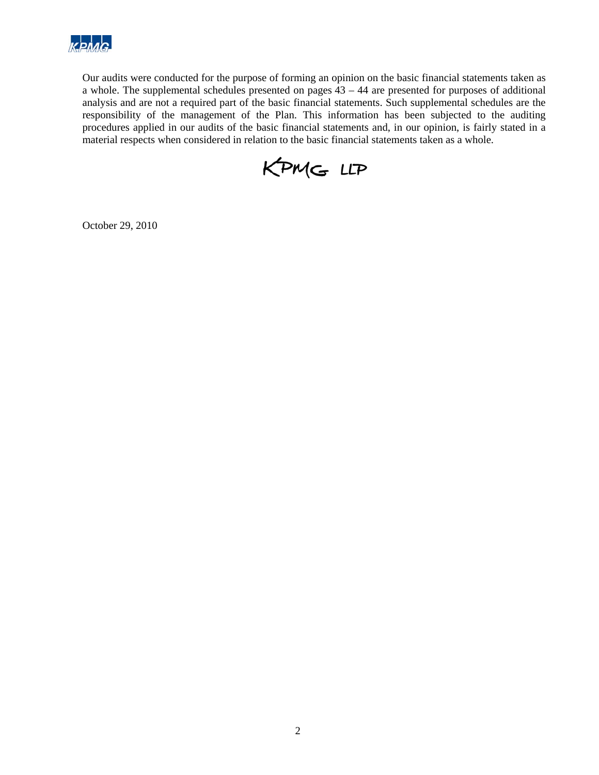

Our audits were conducted for the purpose of forming an opinion on the basic financial statements taken as a whole. The supplemental schedules presented on pages 43 – 44 are presented for purposes of additional analysis and are not a required part of the basic financial statements. Such supplemental schedules are the responsibility of the management of the Plan. This information has been subjected to the auditing procedures applied in our audits of the basic financial statements and, in our opinion, is fairly stated in a material respects when considered in relation to the basic financial statements taken as a whole.



October 29, 2010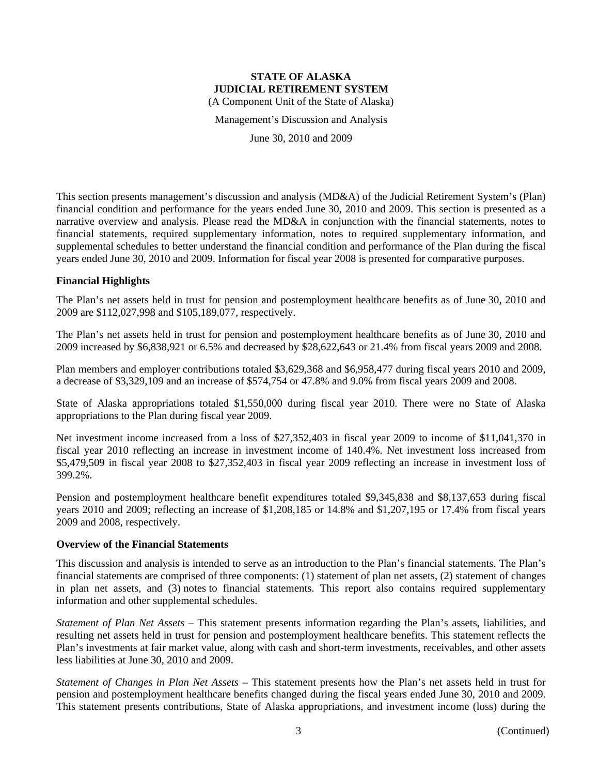#### **STATE OF ALASKA JUDICIAL RETIREMENT SYSTEM**  (A Component Unit of the State of Alaska)

Management's Discussion and Analysis

June 30, 2010 and 2009

This section presents management's discussion and analysis (MD&A) of the Judicial Retirement System's (Plan) financial condition and performance for the years ended June 30, 2010 and 2009. This section is presented as a narrative overview and analysis. Please read the MD&A in conjunction with the financial statements, notes to financial statements, required supplementary information, notes to required supplementary information, and supplemental schedules to better understand the financial condition and performance of the Plan during the fiscal years ended June 30, 2010 and 2009. Information for fiscal year 2008 is presented for comparative purposes.

#### **Financial Highlights**

The Plan's net assets held in trust for pension and postemployment healthcare benefits as of June 30, 2010 and 2009 are \$112,027,998 and \$105,189,077, respectively.

The Plan's net assets held in trust for pension and postemployment healthcare benefits as of June 30, 2010 and 2009 increased by \$6,838,921 or 6.5% and decreased by \$28,622,643 or 21.4% from fiscal years 2009 and 2008.

Plan members and employer contributions totaled \$3,629,368 and \$6,958,477 during fiscal years 2010 and 2009, a decrease of \$3,329,109 and an increase of \$574,754 or 47.8% and 9.0% from fiscal years 2009 and 2008.

State of Alaska appropriations totaled \$1,550,000 during fiscal year 2010. There were no State of Alaska appropriations to the Plan during fiscal year 2009.

Net investment income increased from a loss of \$27,352,403 in fiscal year 2009 to income of \$11,041,370 in fiscal year 2010 reflecting an increase in investment income of 140.4%. Net investment loss increased from \$5,479,509 in fiscal year 2008 to \$27,352,403 in fiscal year 2009 reflecting an increase in investment loss of 399.2%.

Pension and postemployment healthcare benefit expenditures totaled \$9,345,838 and \$8,137,653 during fiscal years 2010 and 2009; reflecting an increase of \$1,208,185 or 14.8% and \$1,207,195 or 17.4% from fiscal years 2009 and 2008, respectively.

#### **Overview of the Financial Statements**

This discussion and analysis is intended to serve as an introduction to the Plan's financial statements. The Plan's financial statements are comprised of three components: (1) statement of plan net assets, (2) statement of changes in plan net assets, and (3) notes to financial statements. This report also contains required supplementary information and other supplemental schedules.

*Statement of Plan Net Assets* – This statement presents information regarding the Plan's assets, liabilities, and resulting net assets held in trust for pension and postemployment healthcare benefits. This statement reflects the Plan's investments at fair market value, along with cash and short-term investments, receivables, and other assets less liabilities at June 30, 2010 and 2009.

*Statement of Changes in Plan Net Assets* – This statement presents how the Plan's net assets held in trust for pension and postemployment healthcare benefits changed during the fiscal years ended June 30, 2010 and 2009. This statement presents contributions, State of Alaska appropriations, and investment income (loss) during the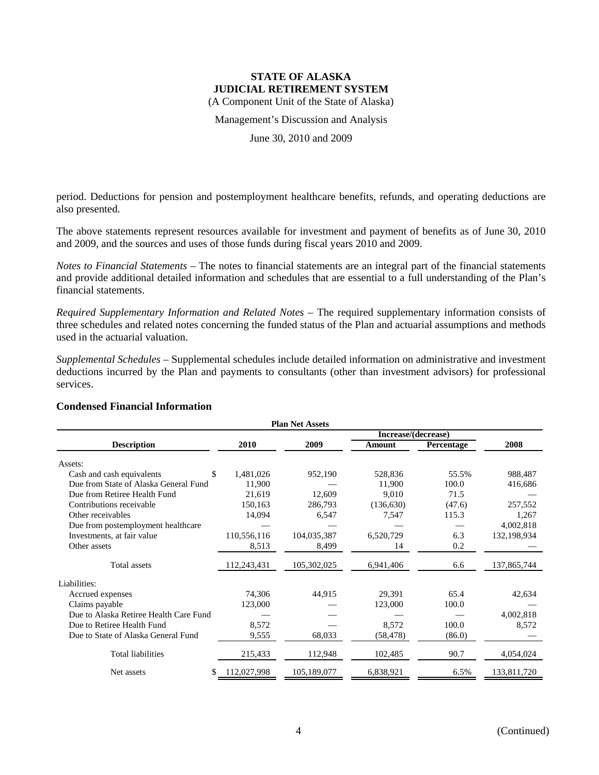(A Component Unit of the State of Alaska)

Management's Discussion and Analysis

June 30, 2010 and 2009

period. Deductions for pension and postemployment healthcare benefits, refunds, and operating deductions are also presented.

The above statements represent resources available for investment and payment of benefits as of June 30, 2010 and 2009, and the sources and uses of those funds during fiscal years 2010 and 2009.

*Notes to Financial Statements* – The notes to financial statements are an integral part of the financial statements and provide additional detailed information and schedules that are essential to a full understanding of the Plan's financial statements.

*Required Supplementary Information and Related Notes* – The required supplementary information consists of three schedules and related notes concerning the funded status of the Plan and actuarial assumptions and methods used in the actuarial valuation.

*Supplemental Schedules* – Supplemental schedules include detailed information on administrative and investment deductions incurred by the Plan and payments to consultants (other than investment advisors) for professional services.

| <b>Plan Net Assets</b>                 |             |             |                     |            |             |  |  |
|----------------------------------------|-------------|-------------|---------------------|------------|-------------|--|--|
|                                        |             |             | Increase/(decrease) |            |             |  |  |
| <b>Description</b>                     | 2010        | 2009        | Amount              | Percentage | 2008        |  |  |
| Assets:                                |             |             |                     |            |             |  |  |
| \$<br>Cash and cash equivalents        | 1,481,026   | 952,190     | 528,836             | 55.5%      | 988,487     |  |  |
| Due from State of Alaska General Fund  | 11,900      |             | 11,900              | 100.0      | 416,686     |  |  |
| Due from Retiree Health Fund           | 21,619      | 12,609      | 9,010               | 71.5       |             |  |  |
| Contributions receivable               | 150,163     | 286,793     | (136, 630)          | (47.6)     | 257,552     |  |  |
| Other receivables                      | 14,094      | 6,547       | 7,547               | 115.3      | 1,267       |  |  |
| Due from postemployment healthcare     |             |             |                     |            | 4,002,818   |  |  |
| Investments, at fair value             | 110,556,116 | 104,035,387 | 6,520,729           | 6.3        | 132,198,934 |  |  |
| Other assets                           | 8,513       | 8,499       | 14                  | 0.2        |             |  |  |
| Total assets                           | 112,243,431 | 105,302,025 | 6,941,406           | 6.6        | 137,865,744 |  |  |
| Liabilities:                           |             |             |                     |            |             |  |  |
| Accrued expenses                       | 74,306      | 44,915      | 29,391              | 65.4       | 42,634      |  |  |
| Claims payable                         | 123,000     |             | 123,000             | 100.0      |             |  |  |
| Due to Alaska Retiree Health Care Fund |             |             |                     |            | 4,002,818   |  |  |
| Due to Retiree Health Fund             | 8,572       |             | 8,572               | 100.0      | 8,572       |  |  |
| Due to State of Alaska General Fund    | 9,555       | 68,033      | (58, 478)           | (86.0)     |             |  |  |
| Total liabilities                      | 215,433     | 112,948     | 102,485             | 90.7       | 4,054,024   |  |  |
| \$<br>Net assets                       | 112,027,998 | 105,189,077 | 6,838,921           | 6.5%       | 133,811,720 |  |  |

### **Condensed Financial Information**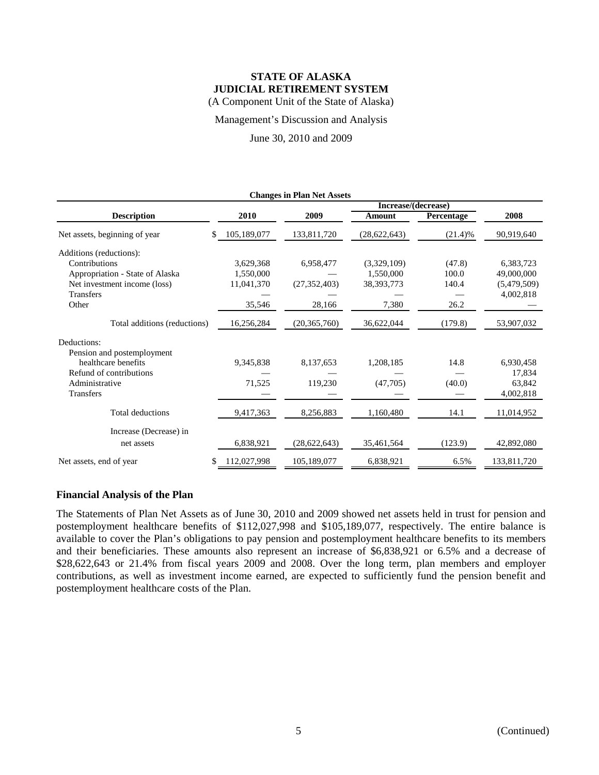### **STATE OF ALASKA JUDICIAL RETIREMENT SYSTEM**  (A Component Unit of the State of Alaska)

Management's Discussion and Analysis

June 30, 2010 and 2009

| Increase/(decrease) |                |                |                                   |             |  |  |  |
|---------------------|----------------|----------------|-----------------------------------|-------------|--|--|--|
| 2010                | 2009           | Amount         | Percentage                        | 2008        |  |  |  |
| 105,189,077<br>\$.  | 133,811,720    | (28, 622, 643) | (21.4)%                           | 90,919,640  |  |  |  |
|                     |                |                |                                   |             |  |  |  |
| 3,629,368           | 6,958,477      | (3,329,109)    | (47.8)                            | 6,383,723   |  |  |  |
| 1.550,000           |                | 1,550,000      | 100.0                             | 49,000,000  |  |  |  |
| 11,041,370          | (27, 352, 403) | 38, 393, 773   | 140.4                             | (5,479,509) |  |  |  |
|                     |                |                |                                   | 4,002,818   |  |  |  |
| 35,546              | 28,166         | 7,380          | 26.2                              |             |  |  |  |
| 16,256,284          | (20, 365, 760) | 36,622,044     | (179.8)                           | 53,907,032  |  |  |  |
|                     |                |                |                                   |             |  |  |  |
|                     |                |                |                                   |             |  |  |  |
| 9,345,838           | 8,137,653      | 1,208,185      | 14.8                              | 6,930,458   |  |  |  |
|                     |                |                |                                   | 17,834      |  |  |  |
| 71,525              | 119,230        | (47,705)       | (40.0)                            | 63,842      |  |  |  |
|                     |                |                |                                   | 4,002,818   |  |  |  |
| 9,417,363           | 8,256,883      | 1,160,480      | 14.1                              | 11,014,952  |  |  |  |
|                     |                |                |                                   |             |  |  |  |
| 6,838,921           | (28, 622, 643) | 35,461,564     | (123.9)                           | 42,892,080  |  |  |  |
| 112,027,998<br>\$   | 105,189,077    | 6,838,921      | 6.5%                              | 133,811,720 |  |  |  |
|                     |                |                | <b>Changes in Plan Net Assets</b> |             |  |  |  |

#### **Financial Analysis of the Plan**

The Statements of Plan Net Assets as of June 30, 2010 and 2009 showed net assets held in trust for pension and postemployment healthcare benefits of \$112,027,998 and \$105,189,077, respectively. The entire balance is available to cover the Plan's obligations to pay pension and postemployment healthcare benefits to its members and their beneficiaries. These amounts also represent an increase of \$6,838,921 or 6.5% and a decrease of \$28,622,643 or 21.4% from fiscal years 2009 and 2008. Over the long term, plan members and employer contributions, as well as investment income earned, are expected to sufficiently fund the pension benefit and postemployment healthcare costs of the Plan.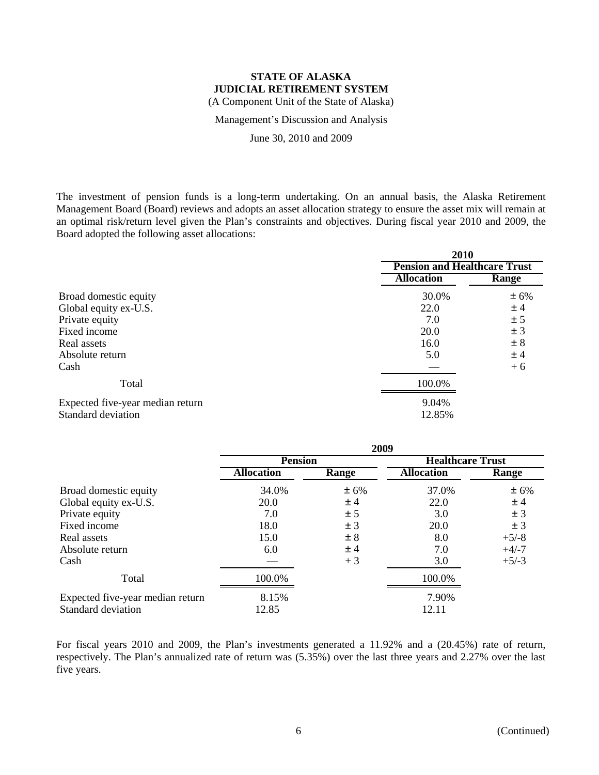(A Component Unit of the State of Alaska)

Management's Discussion and Analysis

June 30, 2010 and 2009

The investment of pension funds is a long-term undertaking. On an annual basis, the Alaska Retirement Management Board (Board) reviews and adopts an asset allocation strategy to ensure the asset mix will remain at an optimal risk/return level given the Plan's constraints and objectives. During fiscal year 2010 and 2009, the Board adopted the following asset allocations:

|                                  | 2010                                |              |  |
|----------------------------------|-------------------------------------|--------------|--|
|                                  | <b>Pension and Healthcare Trust</b> |              |  |
|                                  | <b>Allocation</b>                   | <b>Range</b> |  |
| Broad domestic equity            | 30.0%                               | ± 6%         |  |
| Global equity ex-U.S.            | 22.0                                | ±4           |  |
| Private equity                   | 7.0                                 | ± 5          |  |
| Fixed income                     | 20.0                                | ± 3          |  |
| Real assets                      | 16.0                                | ± 8          |  |
| Absolute return                  | 5.0                                 | ±4           |  |
| Cash                             |                                     | $+6$         |  |
| Total                            | 100.0%                              |              |  |
| Expected five-year median return | 9.04%                               |              |  |
| Standard deviation               | 12.85%                              |              |  |

|                                  | 2009              |       |                         |         |  |  |
|----------------------------------|-------------------|-------|-------------------------|---------|--|--|
|                                  | <b>Pension</b>    |       | <b>Healthcare Trust</b> |         |  |  |
|                                  | <b>Allocation</b> | Range | <b>Allocation</b>       | Range   |  |  |
| Broad domestic equity            | 34.0%             | ± 6%  | 37.0%                   | ± 6%    |  |  |
| Global equity ex-U.S.            | 20.0              | ±4    | 22.0                    | ±4      |  |  |
| Private equity                   | 7.0               | ± 5   | 3.0                     | ± 3     |  |  |
| Fixed income                     | 18.0              | ± 3   | 20.0                    | ± 3     |  |  |
| Real assets                      | 15.0              | ± 8   | 8.0                     | $+5/-8$ |  |  |
| Absolute return                  | 6.0               | ±4    | 7.0                     | $+4/-7$ |  |  |
| Cash                             |                   | $+3$  | 3.0                     | $+5/-3$ |  |  |
| Total                            | 100.0%            |       | 100.0%                  |         |  |  |
| Expected five-year median return | 8.15%             |       | 7.90%                   |         |  |  |
| Standard deviation               | 12.85             |       | 12.11                   |         |  |  |

For fiscal years 2010 and 2009, the Plan's investments generated a 11.92% and a (20.45%) rate of return, respectively. The Plan's annualized rate of return was (5.35%) over the last three years and 2.27% over the last five years.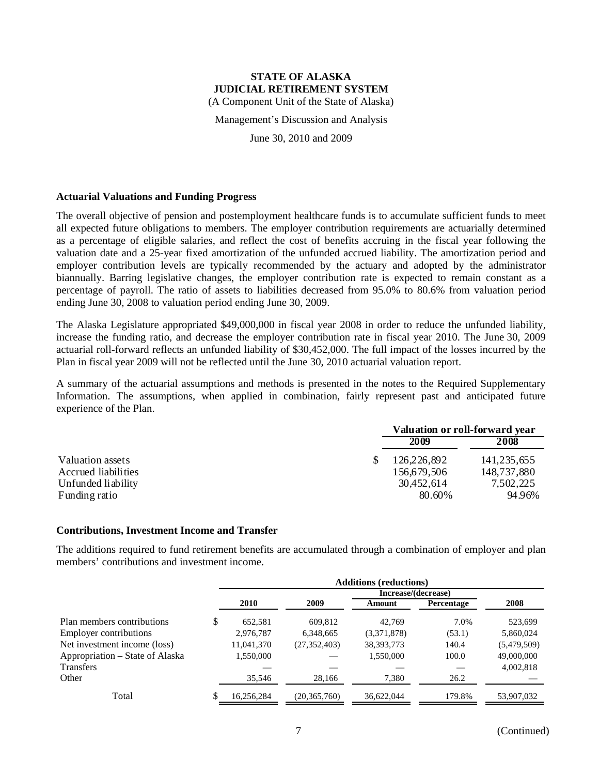(A Component Unit of the State of Alaska)

Management's Discussion and Analysis

June 30, 2010 and 2009

#### **Actuarial Valuations and Funding Progress**

The overall objective of pension and postemployment healthcare funds is to accumulate sufficient funds to meet all expected future obligations to members. The employer contribution requirements are actuarially determined as a percentage of eligible salaries, and reflect the cost of benefits accruing in the fiscal year following the valuation date and a 25-year fixed amortization of the unfunded accrued liability. The amortization period and employer contribution levels are typically recommended by the actuary and adopted by the administrator biannually. Barring legislative changes, the employer contribution rate is expected to remain constant as a percentage of payroll. The ratio of assets to liabilities decreased from 95.0% to 80.6% from valuation period ending June 30, 2008 to valuation period ending June 30, 2009.

The Alaska Legislature appropriated \$49,000,000 in fiscal year 2008 in order to reduce the unfunded liability, increase the funding ratio, and decrease the employer contribution rate in fiscal year 2010. The June 30, 2009 actuarial roll-forward reflects an unfunded liability of \$30,452,000. The full impact of the losses incurred by the Plan in fiscal year 2009 will not be reflected until the June 30, 2010 actuarial valuation report.

A summary of the actuarial assumptions and methods is presented in the notes to the Required Supplementary Information. The assumptions, when applied in combination, fairly represent past and anticipated future experience of the Plan.

|                     | Valuation or roll-forward year |             |
|---------------------|--------------------------------|-------------|
|                     | 2009                           | 2008        |
| Valuation assets    | 126,226,892                    | 141,235,655 |
| Accrued liabilities | 156,679,506                    | 148,737,880 |
| Unfunded liability  | 30,452,614                     | 7,502,225   |
| Funding ratio       | 80.60%                         | 94.96%      |

### **Contributions, Investment Income and Transfer**

The additions required to fund retirement benefits are accumulated through a combination of employer and plan members' contributions and investment income.

|                                 | <b>Additions (reductions)</b> |                |                     |            |             |  |  |  |
|---------------------------------|-------------------------------|----------------|---------------------|------------|-------------|--|--|--|
|                                 |                               |                | Increase/(decrease) |            |             |  |  |  |
|                                 | 2010                          | 2009           | Amount              | Percentage | 2008        |  |  |  |
| Plan members contributions      | \$<br>652,581                 | 609.812        | 42.769              | 7.0%       | 523,699     |  |  |  |
| <b>Employer contributions</b>   | 2,976,787                     | 6,348,665      | (3,371,878)         | (53.1)     | 5,860,024   |  |  |  |
| Net investment income (loss)    | 11,041,370                    | (27, 352, 403) | 38, 393, 773        | 140.4      | (5,479,509) |  |  |  |
| Appropriation – State of Alaska | 1,550,000                     |                | 1,550,000           | 100.0      | 49,000,000  |  |  |  |
| <b>Transfers</b>                |                               |                |                     |            | 4,002,818   |  |  |  |
| Other                           | 35,546                        | 28,166         | 7,380               | 26.2       |             |  |  |  |
| Total                           | 16,256,284                    | (20, 365, 760) | 36,622,044          | 179.8%     | 53,907,032  |  |  |  |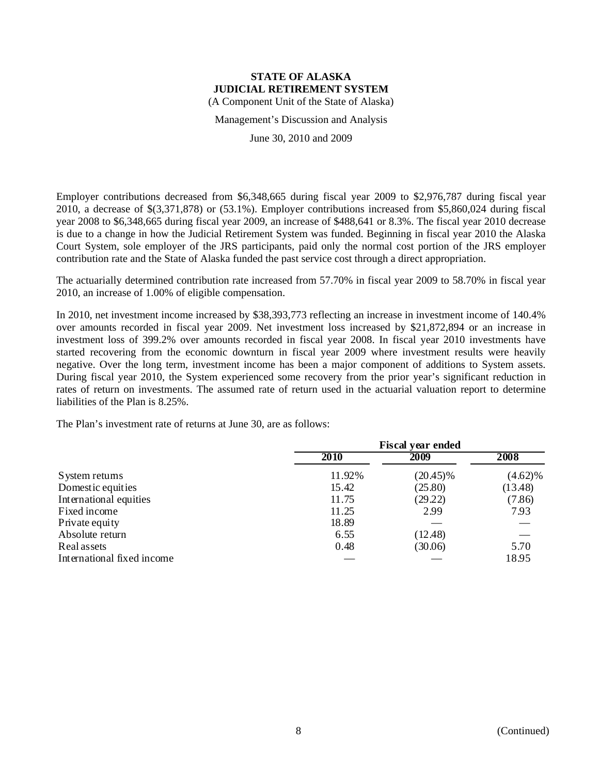(A Component Unit of the State of Alaska)

Management's Discussion and Analysis

June 30, 2010 and 2009

Employer contributions decreased from \$6,348,665 during fiscal year 2009 to \$2,976,787 during fiscal year 2010, a decrease of \$(3,371,878) or (53.1%). Employer contributions increased from \$5,860,024 during fiscal year 2008 to \$6,348,665 during fiscal year 2009, an increase of \$488,641 or 8.3%. The fiscal year 2010 decrease is due to a change in how the Judicial Retirement System was funded. Beginning in fiscal year 2010 the Alaska Court System, sole employer of the JRS participants, paid only the normal cost portion of the JRS employer contribution rate and the State of Alaska funded the past service cost through a direct appropriation.

The actuarially determined contribution rate increased from 57.70% in fiscal year 2009 to 58.70% in fiscal year 2010, an increase of 1.00% of eligible compensation.

In 2010, net investment income increased by \$38,393,773 reflecting an increase in investment income of 140.4% over amounts recorded in fiscal year 2009. Net investment loss increased by \$21,872,894 or an increase in investment loss of 399.2% over amounts recorded in fiscal year 2008. In fiscal year 2010 investments have started recovering from the economic downturn in fiscal year 2009 where investment results were heavily negative. Over the long term, investment income has been a major component of additions to System assets. During fiscal year 2010, the System experienced some recovery from the prior year's significant reduction in rates of return on investments. The assumed rate of return used in the actuarial valuation report to determine liabilities of the Plan is 8.25%.

The Plan's investment rate of returns at June 30, are as follows:

|                            | <b>Fiscal year ended</b> |             |            |  |  |
|----------------------------|--------------------------|-------------|------------|--|--|
|                            | 2010                     | 2009        | 2008       |  |  |
| System returns             | 11.92%                   | $(20.45)\%$ | $(4.62)\%$ |  |  |
| Domestic equities          | 15.42                    | (25.80)     | (13.48)    |  |  |
| International equities     | 11.75                    | (29.22)     | (7.86)     |  |  |
| Fixed income               | 11.25                    | 2.99        | 7.93       |  |  |
| Private equity             | 18.89                    |             |            |  |  |
| Absolute return            | 6.55                     | (12.48)     |            |  |  |
| Real assets                | 0.48                     | (30.06)     | 5.70       |  |  |
| International fixed income |                          |             | 18.95      |  |  |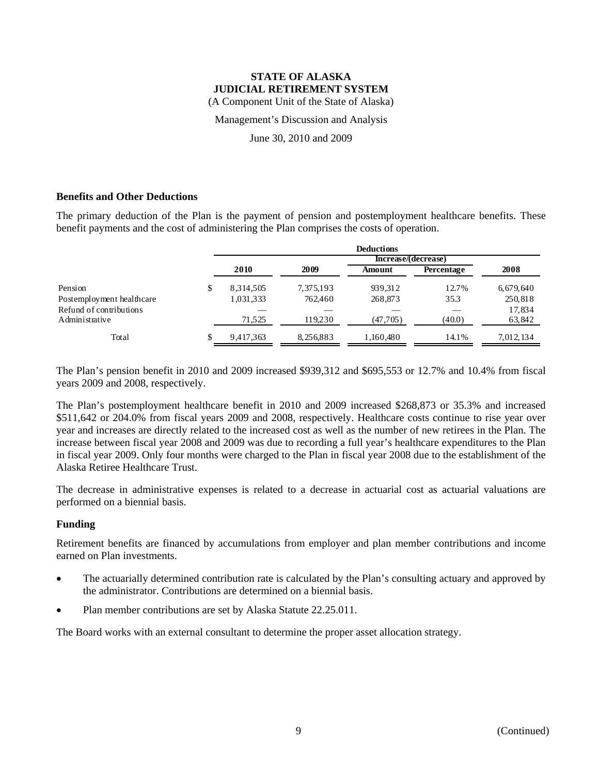#### **STATE OF ALASKA JUDICIAL RETIREMENT SYSTEM**  (A Component Unit of the State of Alaska)

Management's Discussion and Analysis

June 30, 2010 and 2009

### **Benefits and Other Deductions**

The primary deduction of the Plan is the payment of pension and postemployment healthcare benefits. These benefit payments and the cost of administering the Plan comprises the costs of operation.

|                           | <b>Deductions</b> |           |           |                     |           |  |  |
|---------------------------|-------------------|-----------|-----------|---------------------|-----------|--|--|
|                           |                   |           |           | Increase/(decrease) |           |  |  |
|                           | 2010              | 2009      | Amount    | Percentage          | 2008      |  |  |
| Pension                   | 8.314.505         | 7,375,193 | 939,312   | 12.7%               | 6,679,640 |  |  |
| Postemployment healthcare | 1,031,333         | 762.460   | 268,873   | 35.3                | 250,818   |  |  |
| Refund of contributions   |                   |           |           |                     | 17,834    |  |  |
| Administrative            | 71.525            | 119.230   | (47, 705) | (40.0)              | 63,842    |  |  |
| Total                     | 9,417,363         | 8,256,883 | 1,160,480 | 14.1%               | 7.012.134 |  |  |

The Plan's pension benefit in 2010 and 2009 increased \$939,312 and \$695,553 or 12.7% and 10.4% from fiscal years 2009 and 2008, respectively.

The Plan's postemployment healthcare benefit in 2010 and 2009 increased \$268,873 or 35.3% and increased \$511,642 or 204.0% from fiscal years 2009 and 2008, respectively. Healthcare costs continue to rise year over year and increases are directly related to the increased cost as well as the number of new retirees in the Plan. The increase between fiscal year 2008 and 2009 was due to recording a full year's healthcare expenditures to the Plan in fiscal year 2009. Only four months were charged to the Plan in fiscal year 2008 due to the establishment of the Alaska Retiree Healthcare Trust.

The decrease in administrative expenses is related to a decrease in actuarial cost as actuarial valuations are performed on a biennial basis.

### **Funding**

Retirement benefits are financed by accumulations from employer and plan member contributions and income earned on Plan investments.

- The actuarially determined contribution rate is calculated by the Plan's consulting actuary and approved by the administrator. Contributions are determined on a biennial basis.
- Plan member contributions are set by Alaska Statute 22.25.011.

The Board works with an external consultant to determine the proper asset allocation strategy.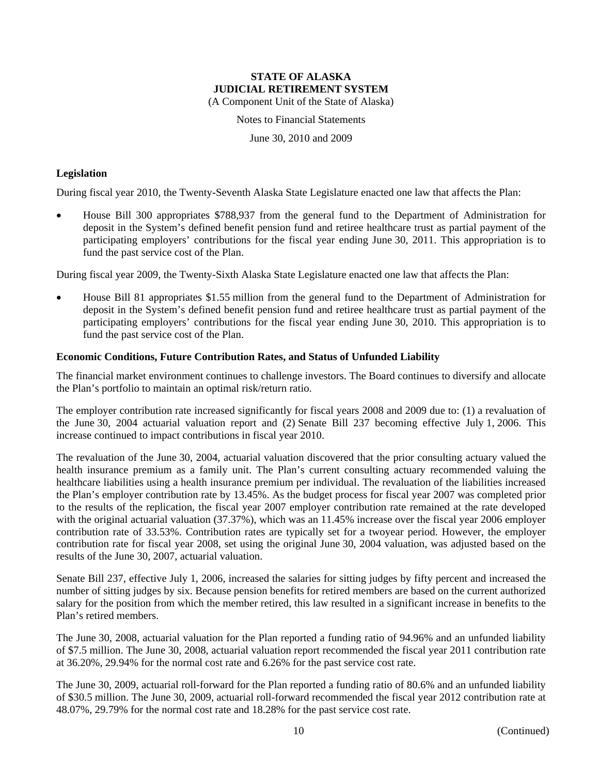(A Component Unit of the State of Alaska)

Notes to Financial Statements

June 30, 2010 and 2009

#### **Legislation**

During fiscal year 2010, the Twenty-Seventh Alaska State Legislature enacted one law that affects the Plan:

 House Bill 300 appropriates \$788,937 from the general fund to the Department of Administration for deposit in the System's defined benefit pension fund and retiree healthcare trust as partial payment of the participating employers' contributions for the fiscal year ending June 30, 2011. This appropriation is to fund the past service cost of the Plan.

During fiscal year 2009, the Twenty-Sixth Alaska State Legislature enacted one law that affects the Plan:

 House Bill 81 appropriates \$1.55 million from the general fund to the Department of Administration for deposit in the System's defined benefit pension fund and retiree healthcare trust as partial payment of the participating employers' contributions for the fiscal year ending June 30, 2010. This appropriation is to fund the past service cost of the Plan.

#### **Economic Conditions, Future Contribution Rates, and Status of Unfunded Liability**

The financial market environment continues to challenge investors. The Board continues to diversify and allocate the Plan's portfolio to maintain an optimal risk/return ratio.

The employer contribution rate increased significantly for fiscal years 2008 and 2009 due to: (1) a revaluation of the June 30, 2004 actuarial valuation report and (2) Senate Bill 237 becoming effective July 1, 2006. This increase continued to impact contributions in fiscal year 2010.

The revaluation of the June 30, 2004, actuarial valuation discovered that the prior consulting actuary valued the health insurance premium as a family unit. The Plan's current consulting actuary recommended valuing the healthcare liabilities using a health insurance premium per individual. The revaluation of the liabilities increased the Plan's employer contribution rate by 13.45%. As the budget process for fiscal year 2007 was completed prior to the results of the replication, the fiscal year 2007 employer contribution rate remained at the rate developed with the original actuarial valuation (37.37%), which was an 11.45% increase over the fiscal year 2006 employer contribution rate of 33.53%. Contribution rates are typically set for a twoyear period. However, the employer contribution rate for fiscal year 2008, set using the original June 30, 2004 valuation, was adjusted based on the results of the June 30, 2007, actuarial valuation.

Senate Bill 237, effective July 1, 2006, increased the salaries for sitting judges by fifty percent and increased the number of sitting judges by six. Because pension benefits for retired members are based on the current authorized salary for the position from which the member retired, this law resulted in a significant increase in benefits to the Plan's retired members.

The June 30, 2008, actuarial valuation for the Plan reported a funding ratio of 94.96% and an unfunded liability of \$7.5 million. The June 30, 2008, actuarial valuation report recommended the fiscal year 2011 contribution rate at 36.20%, 29.94% for the normal cost rate and 6.26% for the past service cost rate.

The June 30, 2009, actuarial roll-forward for the Plan reported a funding ratio of 80.6% and an unfunded liability of \$30.5 million. The June 30, 2009, actuarial roll-forward recommended the fiscal year 2012 contribution rate at 48.07%, 29.79% for the normal cost rate and 18.28% for the past service cost rate.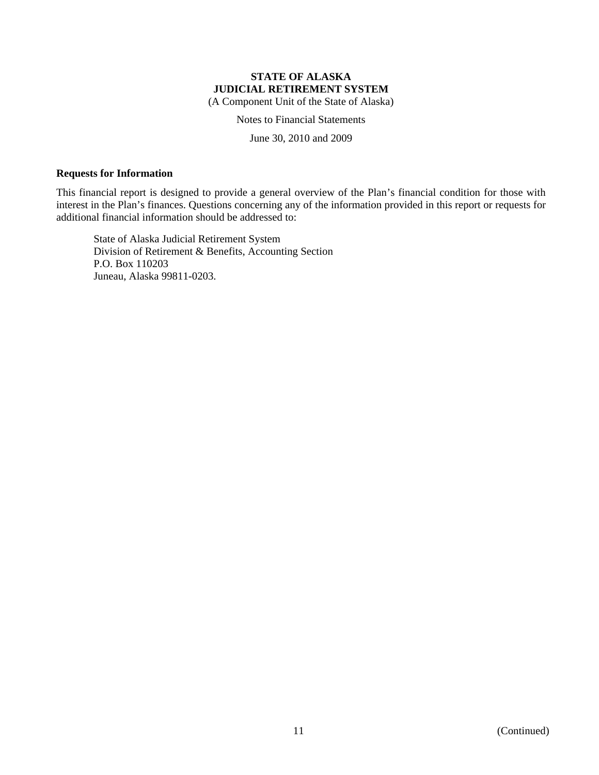(A Component Unit of the State of Alaska)

Notes to Financial Statements

June 30, 2010 and 2009

#### **Requests for Information**

This financial report is designed to provide a general overview of the Plan's financial condition for those with interest in the Plan's finances. Questions concerning any of the information provided in this report or requests for additional financial information should be addressed to:

State of Alaska Judicial Retirement System Division of Retirement & Benefits, Accounting Section P.O. Box 110203 Juneau, Alaska 99811-0203.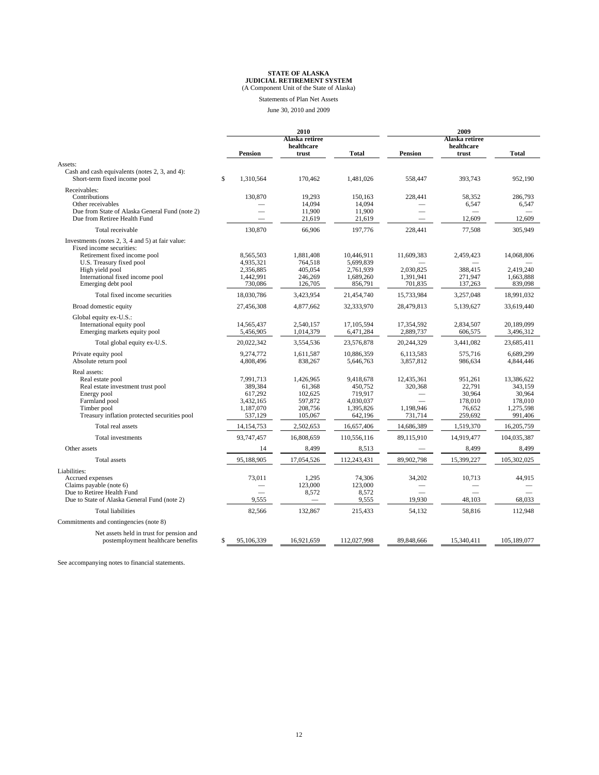# **STATE OF ALASKA JUDICIAL RETIREMENT SYSTEM** (A Component Unit of the State of Alaska)

Statements of Plan Net Assets

June 30, 2010 and 2009

|                                                                                                                                                                      |                                                                      | 2010                                                            |                                                                      |                                               | 2009                                                        |                                                                    |  |
|----------------------------------------------------------------------------------------------------------------------------------------------------------------------|----------------------------------------------------------------------|-----------------------------------------------------------------|----------------------------------------------------------------------|-----------------------------------------------|-------------------------------------------------------------|--------------------------------------------------------------------|--|
|                                                                                                                                                                      |                                                                      | Alaska retiree<br>healthcare                                    |                                                                      |                                               | Alaska retiree<br>healthcare                                |                                                                    |  |
|                                                                                                                                                                      | <b>Pension</b>                                                       | trust                                                           | <b>Total</b>                                                         | <b>Pension</b>                                | trust                                                       | <b>Total</b>                                                       |  |
| Assets:                                                                                                                                                              |                                                                      |                                                                 |                                                                      |                                               |                                                             |                                                                    |  |
| Cash and cash equivalents (notes 2, 3, and 4):<br>Short-term fixed income pool                                                                                       | \$<br>1,310,564                                                      | 170,462                                                         | 1,481,026                                                            | 558,447                                       | 393,743                                                     | 952,190                                                            |  |
| Receivables:<br>Contributions<br>Other receivables<br>Due from State of Alaska General Fund (note 2)                                                                 | 130,870                                                              | 19,293<br>14,094<br>11,900                                      | 150,163<br>14.094<br>11,900                                          | 228,441                                       | 58,352<br>6,547                                             | 286,793<br>6,547                                                   |  |
| Due from Retiree Health Fund                                                                                                                                         |                                                                      | 21,619                                                          | 21,619                                                               |                                               | 12,609                                                      | 12,609                                                             |  |
| Total receivable                                                                                                                                                     | 130,870                                                              | 66,906                                                          | 197,776                                                              | 228.441                                       | 77,508                                                      | 305,949                                                            |  |
| Investments (notes 2, 3, 4 and 5) at fair value:<br>Fixed income securities:                                                                                         |                                                                      |                                                                 |                                                                      |                                               |                                                             |                                                                    |  |
| Retirement fixed income pool<br>U.S. Treasury fixed pool                                                                                                             | 8,565,503<br>4,935,321                                               | 1,881,408<br>764,518                                            | 10,446,911<br>5,699,839                                              | 11,609,383                                    | 2,459,423                                                   | 14,068,806                                                         |  |
| High yield pool<br>International fixed income pool<br>Emerging debt pool                                                                                             | 2,356,885<br>1,442,991<br>730,086                                    | 405.054<br>246,269<br>126,705                                   | 2,761,939<br>1,689,260<br>856,791                                    | 2,030,825<br>1,391,941<br>701,835             | 388.415<br>271,947<br>137,263                               | 2,419,240<br>1,663,888<br>839,098                                  |  |
| Total fixed income securities                                                                                                                                        | 18,030,786                                                           | 3,423,954                                                       | 21,454,740                                                           | 15,733,984                                    | 3,257,048                                                   | 18,991,032                                                         |  |
| Broad domestic equity                                                                                                                                                | 27,456,308                                                           | 4,877,662                                                       | 32,333,970                                                           | 28,479,813                                    | 5,139,627                                                   | 33,619,440                                                         |  |
| Global equity ex-U.S.:<br>International equity pool                                                                                                                  | 14,565,437                                                           | 2,540,157                                                       | 17,105,594                                                           | 17,354,592                                    | 2,834,507                                                   | 20,189,099                                                         |  |
| Emerging markets equity pool                                                                                                                                         | 5,456,905                                                            | 1,014,379                                                       | 6,471,284                                                            | 2,889,737                                     | 606,575                                                     | 3,496,312                                                          |  |
| Total global equity ex-U.S.                                                                                                                                          | 20,022,342                                                           | 3,554,536                                                       | 23,576,878                                                           | 20,244,329                                    | 3,441,082                                                   | 23,685,411                                                         |  |
| Private equity pool<br>Absolute return pool                                                                                                                          | 9,274,772<br>4,808,496                                               | 1,611,587<br>838,267                                            | 10,886,359<br>5,646,763                                              | 6,113,583<br>3,857,812                        | 575,716<br>986,634                                          | 6,689,299<br>4,844,446                                             |  |
| Real assets:<br>Real estate pool<br>Real estate investment trust pool<br>Energy pool<br>Farmland pool<br>Timber pool<br>Treasury inflation protected securities pool | 7,991,713<br>389,384<br>617,292<br>3,432,165<br>1,187,070<br>537,129 | 1,426,965<br>61,368<br>102,625<br>597,872<br>208,756<br>105,067 | 9,418,678<br>450,752<br>719,917<br>4,030,037<br>1,395,826<br>642,196 | 12,435,361<br>320,368<br>1,198,946<br>731,714 | 951,261<br>22,791<br>30,964<br>178,010<br>76,652<br>259,692 | 13,386,622<br>343,159<br>30,964<br>178,010<br>1,275,598<br>991,406 |  |
| Total real assets                                                                                                                                                    | 14, 154, 753                                                         | 2,502,653                                                       | 16,657,406                                                           | 14,686,389                                    | 1,519,370                                                   | 16,205,759                                                         |  |
| Total investments                                                                                                                                                    | 93,747,457                                                           | 16,808,659                                                      | 110,556,116                                                          | 89,115,910                                    | 14,919,477                                                  | 104,035,387                                                        |  |
| Other assets                                                                                                                                                         | 14                                                                   | 8,499                                                           | 8,513                                                                |                                               | 8,499                                                       | 8,499                                                              |  |
| <b>Total</b> assets                                                                                                                                                  | 95,188,905                                                           | 17,054,526                                                      | 112,243,431                                                          | 89,902,798                                    | 15,399,227                                                  | 105,302,025                                                        |  |
| Liabilities:<br>Accrued expenses<br>Claims payable (note 6)<br>Due to Retiree Health Fund<br>Due to State of Alaska General Fund (note 2)                            | 73,011<br>9,555                                                      | 1,295<br>123,000<br>8,572                                       | 74,306<br>123,000<br>8,572<br>9,555                                  | 34,202<br>19,930                              | 10.713<br>48,103                                            | 44.915<br>68,033                                                   |  |
| <b>Total liabilities</b>                                                                                                                                             | 82,566                                                               | 132,867                                                         | 215,433                                                              | 54,132                                        | 58,816                                                      | 112,948                                                            |  |
| Commitments and contingencies (note 8)                                                                                                                               |                                                                      |                                                                 |                                                                      |                                               |                                                             |                                                                    |  |
| Net assets held in trust for pension and<br>postemployment healthcare benefits                                                                                       | \$<br>95,106,339                                                     | 16,921,659                                                      | 112,027,998                                                          | 89,848,666                                    | 15,340,411                                                  | 105,189,077                                                        |  |

See accompanying notes to financial statements.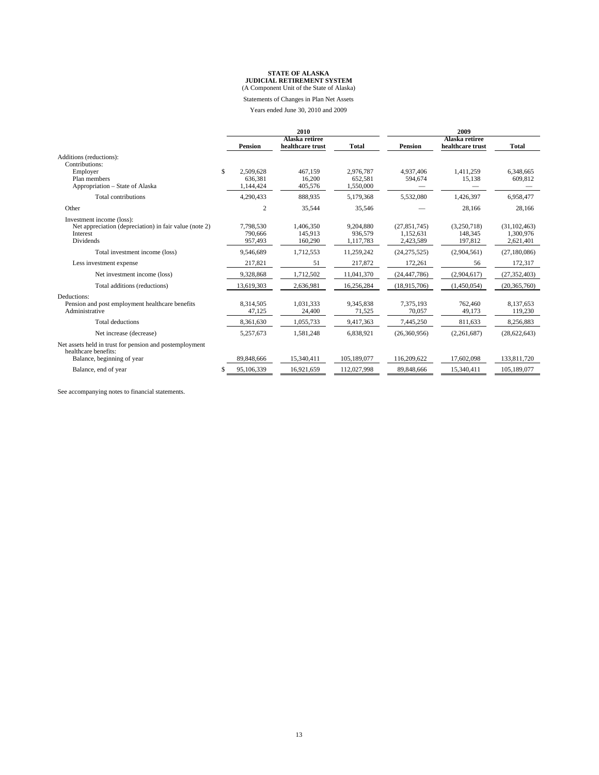# **STATE OF ALASKA JUDICIAL RETIREMENT SYSTEM** (A Component Unit of the State of Alaska)

Statements of Changes in Plan Net Assets

Years ended June 30, 2010 and 2009

|                                                                                                               |     | 2010                              |                                    |                                   | 2009                                     |                                    |                                          |
|---------------------------------------------------------------------------------------------------------------|-----|-----------------------------------|------------------------------------|-----------------------------------|------------------------------------------|------------------------------------|------------------------------------------|
|                                                                                                               |     | <b>Pension</b>                    | Alaska retiree<br>healthcare trust | Total                             | <b>Pension</b>                           | Alaska retiree<br>healthcare trust | <b>Total</b>                             |
| Additions (reductions):<br>Contributions:                                                                     |     |                                   |                                    |                                   |                                          |                                    |                                          |
| Employer<br>Plan members<br>Appropriation – State of Alaska                                                   | \$. | 2.509.628<br>636.381<br>1,144,424 | 467.159<br>16.200<br>405,576       | 2,976,787<br>652,581<br>1,550,000 | 4.937.406<br>594,674                     | 1,411,259<br>15,138                | 6,348,665<br>609,812                     |
| Total contributions                                                                                           |     | 4,290,433                         | 888,935                            | 5.179.368                         | 5,532,080                                | 1,426,397                          | 6,958,477                                |
| Other                                                                                                         |     | $\overline{2}$                    | 35,544                             | 35,546                            |                                          | 28,166                             | 28,166                                   |
| Investment income (loss):<br>Net appreciation (depreciation) in fair value (note 2)<br>Interest<br>Dividends  |     | 7,798,530<br>790,666<br>957,493   | 1,406,350<br>145,913<br>160,290    | 9,204,880<br>936,579<br>1,117,783 | (27, 851, 745)<br>1,152,631<br>2,423,589 | (3,250,718)<br>148,345<br>197,812  | (31, 102, 463)<br>1,300,976<br>2,621,401 |
| Total investment income (loss)                                                                                |     | 9,546,689                         | 1,712,553                          | 11,259,242                        | (24, 275, 525)                           | (2,904,561)                        | (27, 180, 086)                           |
| Less investment expense                                                                                       |     | 217,821                           | 51                                 | 217,872                           | 172,261                                  | 56                                 | 172,317                                  |
| Net investment income (loss)                                                                                  |     | 9,328,868                         | 1,712,502                          | 11,041,370                        | (24, 447, 786)                           | (2,904,617)                        | (27, 352, 403)                           |
| Total additions (reductions)                                                                                  |     | 13,619,303                        | 2,636,981                          | 16,256,284                        | (18,915,706)                             | (1,450,054)                        | (20, 365, 760)                           |
| Deductions:<br>Pension and post employment healthcare benefits<br>Administrative                              |     | 8,314,505<br>47,125               | 1,031,333<br>24,400                | 9,345,838<br>71,525               | 7,375,193<br>70,057                      | 762,460<br>49,173                  | 8,137,653<br>119,230                     |
| <b>Total deductions</b>                                                                                       |     | 8.361.630                         | 1,055,733                          | 9,417,363                         | 7,445,250                                | 811,633                            | 8,256,883                                |
| Net increase (decrease)                                                                                       |     | 5,257,673                         | 1,581,248                          | 6,838,921                         | (26,360,956)                             | (2,261,687)                        | (28, 622, 643)                           |
| Net assets held in trust for pension and postemployment<br>healthcare benefits:<br>Balance, beginning of year |     | 89,848,666                        | 15,340,411                         | 105,189,077                       | 116,209,622                              | 17,602,098                         | 133,811,720                              |
| Balance, end of year                                                                                          |     | 95,106,339                        | 16,921,659                         | 112,027,998                       | 89,848,666                               | 15,340,411                         | 105,189,077                              |

See accompanying notes to financial statements.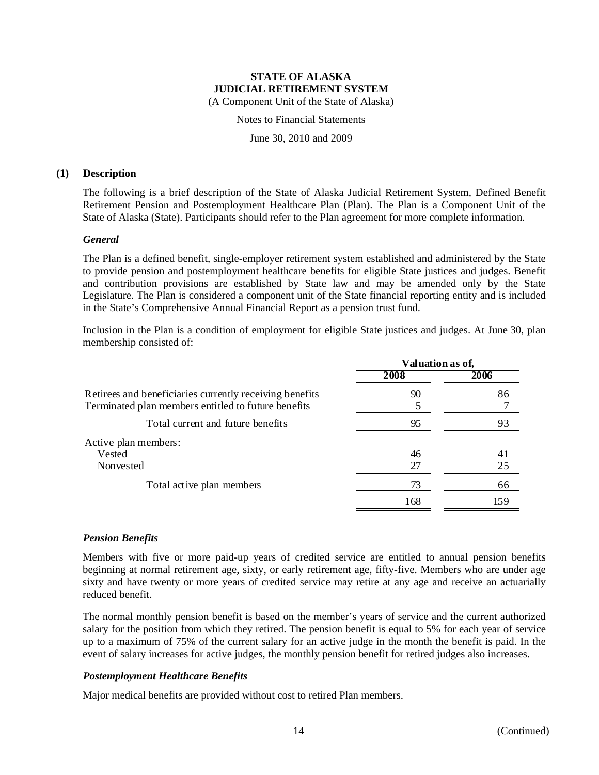(A Component Unit of the State of Alaska)

Notes to Financial Statements

June 30, 2010 and 2009

#### **(1) Description**

The following is a brief description of the State of Alaska Judicial Retirement System, Defined Benefit Retirement Pension and Postemployment Healthcare Plan (Plan). The Plan is a Component Unit of the State of Alaska (State). Participants should refer to the Plan agreement for more complete information.

### *General*

The Plan is a defined benefit, single-employer retirement system established and administered by the State to provide pension and postemployment healthcare benefits for eligible State justices and judges. Benefit and contribution provisions are established by State law and may be amended only by the State Legislature. The Plan is considered a component unit of the State financial reporting entity and is included in the State's Comprehensive Annual Financial Report as a pension trust fund.

Inclusion in the Plan is a condition of employment for eligible State justices and judges. At June 30, plan membership consisted of:

|                                                                                                                | Valuation as of, |      |  |
|----------------------------------------------------------------------------------------------------------------|------------------|------|--|
|                                                                                                                | 2008             | 2006 |  |
| Retirees and beneficiaries currently receiving benefits<br>Terminated plan members entitled to future benefits | 90               | 86   |  |
| Total current and future benefits                                                                              | 95               | 93   |  |
| Active plan members:                                                                                           |                  |      |  |
| Vested                                                                                                         | 46               | 41   |  |
| Nonvested                                                                                                      | 27               | 25   |  |
| Total active plan members                                                                                      | 73               | 66   |  |
|                                                                                                                | 168              | 159  |  |
|                                                                                                                |                  |      |  |

### *Pension Benefits*

Members with five or more paid-up years of credited service are entitled to annual pension benefits beginning at normal retirement age, sixty, or early retirement age, fifty-five. Members who are under age sixty and have twenty or more years of credited service may retire at any age and receive an actuarially reduced benefit.

The normal monthly pension benefit is based on the member's years of service and the current authorized salary for the position from which they retired. The pension benefit is equal to 5% for each year of service up to a maximum of 75% of the current salary for an active judge in the month the benefit is paid. In the event of salary increases for active judges, the monthly pension benefit for retired judges also increases.

### *Postemployment Healthcare Benefits*

Major medical benefits are provided without cost to retired Plan members.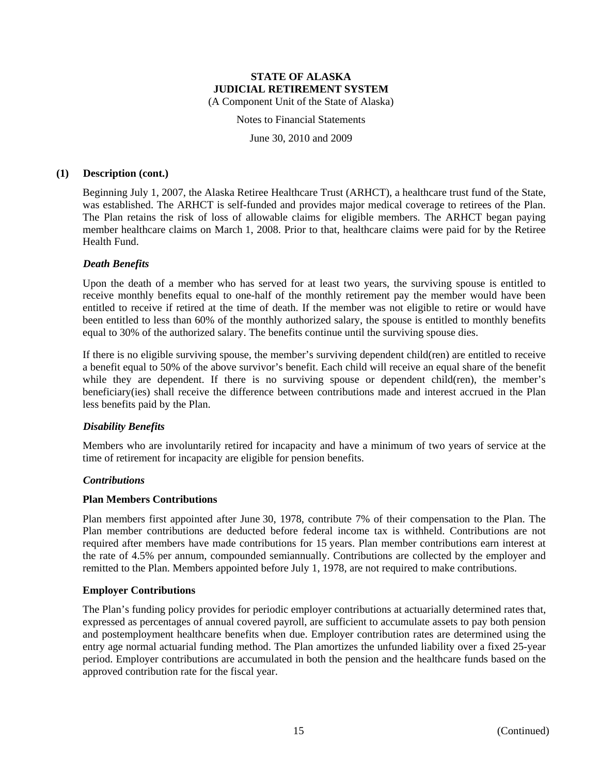#### **STATE OF ALASKA JUDICIAL RETIREMENT SYSTEM**  (A Component Unit of the State of Alaska)

Notes to Financial Statements

June 30, 2010 and 2009

### **(1) Description (cont.)**

Beginning July 1, 2007, the Alaska Retiree Healthcare Trust (ARHCT), a healthcare trust fund of the State, was established. The ARHCT is self-funded and provides major medical coverage to retirees of the Plan. The Plan retains the risk of loss of allowable claims for eligible members. The ARHCT began paying member healthcare claims on March 1, 2008. Prior to that, healthcare claims were paid for by the Retiree Health Fund.

### *Death Benefits*

Upon the death of a member who has served for at least two years, the surviving spouse is entitled to receive monthly benefits equal to one-half of the monthly retirement pay the member would have been entitled to receive if retired at the time of death. If the member was not eligible to retire or would have been entitled to less than 60% of the monthly authorized salary, the spouse is entitled to monthly benefits equal to 30% of the authorized salary. The benefits continue until the surviving spouse dies.

If there is no eligible surviving spouse, the member's surviving dependent child(ren) are entitled to receive a benefit equal to 50% of the above survivor's benefit. Each child will receive an equal share of the benefit while they are dependent. If there is no surviving spouse or dependent child(ren), the member's beneficiary(ies) shall receive the difference between contributions made and interest accrued in the Plan less benefits paid by the Plan.

### *Disability Benefits*

Members who are involuntarily retired for incapacity and have a minimum of two years of service at the time of retirement for incapacity are eligible for pension benefits.

### *Contributions*

#### **Plan Members Contributions**

Plan members first appointed after June 30, 1978, contribute 7% of their compensation to the Plan. The Plan member contributions are deducted before federal income tax is withheld. Contributions are not required after members have made contributions for 15 years. Plan member contributions earn interest at the rate of 4.5% per annum, compounded semiannually. Contributions are collected by the employer and remitted to the Plan. Members appointed before July 1, 1978, are not required to make contributions.

#### **Employer Contributions**

The Plan's funding policy provides for periodic employer contributions at actuarially determined rates that, expressed as percentages of annual covered payroll, are sufficient to accumulate assets to pay both pension and postemployment healthcare benefits when due. Employer contribution rates are determined using the entry age normal actuarial funding method. The Plan amortizes the unfunded liability over a fixed 25-year period. Employer contributions are accumulated in both the pension and the healthcare funds based on the approved contribution rate for the fiscal year.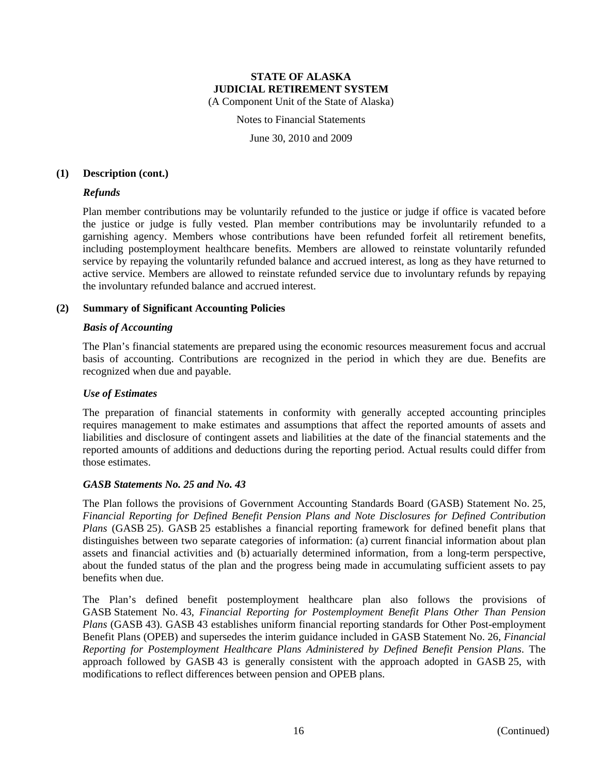#### **STATE OF ALASKA JUDICIAL RETIREMENT SYSTEM**  (A Component Unit of the State of Alaska)

Notes to Financial Statements

June 30, 2010 and 2009

#### **(1) Description (cont.)**

#### *Refunds*

Plan member contributions may be voluntarily refunded to the justice or judge if office is vacated before the justice or judge is fully vested. Plan member contributions may be involuntarily refunded to a garnishing agency. Members whose contributions have been refunded forfeit all retirement benefits, including postemployment healthcare benefits. Members are allowed to reinstate voluntarily refunded service by repaying the voluntarily refunded balance and accrued interest, as long as they have returned to active service. Members are allowed to reinstate refunded service due to involuntary refunds by repaying the involuntary refunded balance and accrued interest.

#### **(2) Summary of Significant Accounting Policies**

#### *Basis of Accounting*

The Plan's financial statements are prepared using the economic resources measurement focus and accrual basis of accounting. Contributions are recognized in the period in which they are due. Benefits are recognized when due and payable.

#### *Use of Estimates*

The preparation of financial statements in conformity with generally accepted accounting principles requires management to make estimates and assumptions that affect the reported amounts of assets and liabilities and disclosure of contingent assets and liabilities at the date of the financial statements and the reported amounts of additions and deductions during the reporting period. Actual results could differ from those estimates.

#### *GASB Statements No. 25 and No. 43*

The Plan follows the provisions of Government Accounting Standards Board (GASB) Statement No. 25, *Financial Reporting for Defined Benefit Pension Plans and Note Disclosures for Defined Contribution Plans* (GASB 25). GASB 25 establishes a financial reporting framework for defined benefit plans that distinguishes between two separate categories of information: (a) current financial information about plan assets and financial activities and (b) actuarially determined information, from a long-term perspective, about the funded status of the plan and the progress being made in accumulating sufficient assets to pay benefits when due.

The Plan's defined benefit postemployment healthcare plan also follows the provisions of GASB Statement No. 43, *Financial Reporting for Postemployment Benefit Plans Other Than Pension Plans* (GASB 43). GASB 43 establishes uniform financial reporting standards for Other Post-employment Benefit Plans (OPEB) and supersedes the interim guidance included in GASB Statement No. 26, *Financial Reporting for Postemployment Healthcare Plans Administered by Defined Benefit Pension Plans*. The approach followed by GASB 43 is generally consistent with the approach adopted in GASB 25, with modifications to reflect differences between pension and OPEB plans.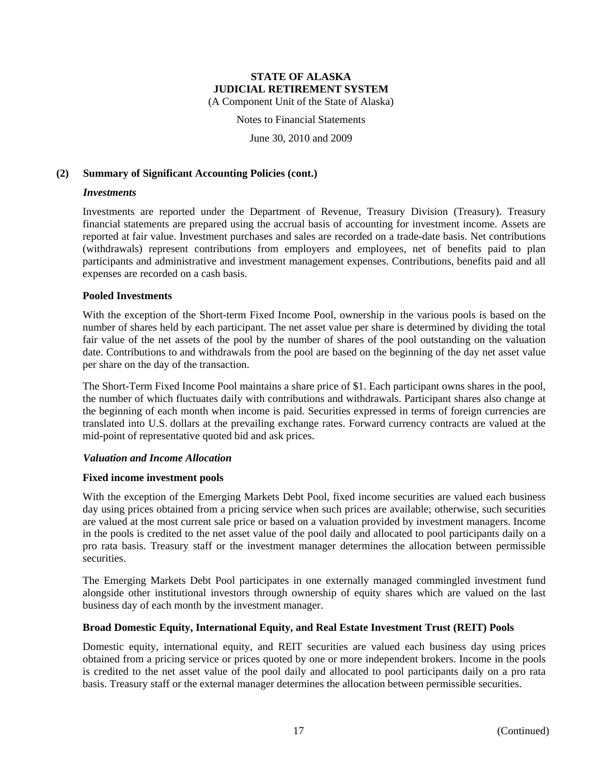(A Component Unit of the State of Alaska)

Notes to Financial Statements

June 30, 2010 and 2009

#### **(2) Summary of Significant Accounting Policies (cont.)**

#### *Investments*

Investments are reported under the Department of Revenue, Treasury Division (Treasury). Treasury financial statements are prepared using the accrual basis of accounting for investment income. Assets are reported at fair value. Investment purchases and sales are recorded on a trade-date basis. Net contributions (withdrawals) represent contributions from employers and employees, net of benefits paid to plan participants and administrative and investment management expenses. Contributions, benefits paid and all expenses are recorded on a cash basis.

#### **Pooled Investments**

With the exception of the Short-term Fixed Income Pool, ownership in the various pools is based on the number of shares held by each participant. The net asset value per share is determined by dividing the total fair value of the net assets of the pool by the number of shares of the pool outstanding on the valuation date. Contributions to and withdrawals from the pool are based on the beginning of the day net asset value per share on the day of the transaction.

The Short-Term Fixed Income Pool maintains a share price of \$1. Each participant owns shares in the pool, the number of which fluctuates daily with contributions and withdrawals. Participant shares also change at the beginning of each month when income is paid. Securities expressed in terms of foreign currencies are translated into U.S. dollars at the prevailing exchange rates. Forward currency contracts are valued at the mid-point of representative quoted bid and ask prices.

#### *Valuation and Income Allocation*

#### **Fixed income investment pools**

With the exception of the Emerging Markets Debt Pool, fixed income securities are valued each business day using prices obtained from a pricing service when such prices are available; otherwise, such securities are valued at the most current sale price or based on a valuation provided by investment managers. Income in the pools is credited to the net asset value of the pool daily and allocated to pool participants daily on a pro rata basis. Treasury staff or the investment manager determines the allocation between permissible securities.

The Emerging Markets Debt Pool participates in one externally managed commingled investment fund alongside other institutional investors through ownership of equity shares which are valued on the last business day of each month by the investment manager.

### **Broad Domestic Equity, International Equity, and Real Estate Investment Trust (REIT) Pools**

Domestic equity, international equity, and REIT securities are valued each business day using prices obtained from a pricing service or prices quoted by one or more independent brokers. Income in the pools is credited to the net asset value of the pool daily and allocated to pool participants daily on a pro rata basis. Treasury staff or the external manager determines the allocation between permissible securities.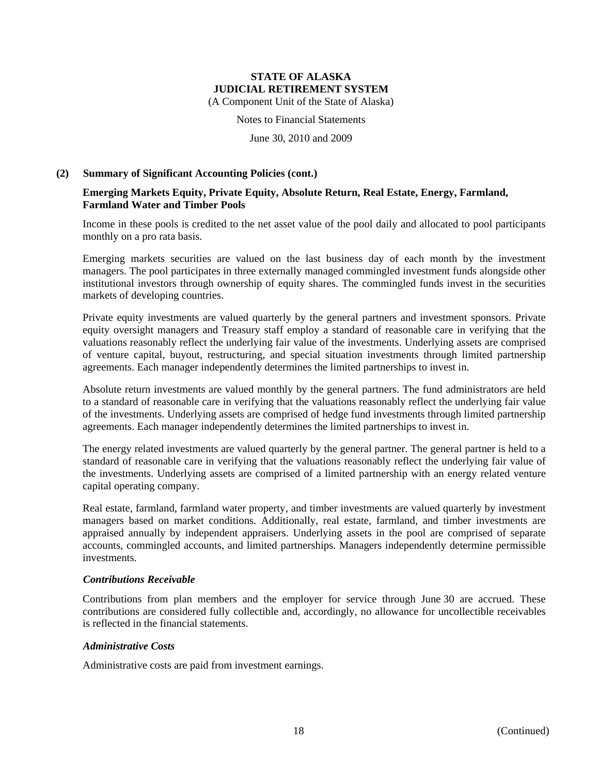(A Component Unit of the State of Alaska)

Notes to Financial Statements

June 30, 2010 and 2009

#### **(2) Summary of Significant Accounting Policies (cont.)**

#### **Emerging Markets Equity, Private Equity, Absolute Return, Real Estate, Energy, Farmland, Farmland Water and Timber Pools**

Income in these pools is credited to the net asset value of the pool daily and allocated to pool participants monthly on a pro rata basis.

Emerging markets securities are valued on the last business day of each month by the investment managers. The pool participates in three externally managed commingled investment funds alongside other institutional investors through ownership of equity shares. The commingled funds invest in the securities markets of developing countries.

Private equity investments are valued quarterly by the general partners and investment sponsors. Private equity oversight managers and Treasury staff employ a standard of reasonable care in verifying that the valuations reasonably reflect the underlying fair value of the investments. Underlying assets are comprised of venture capital, buyout, restructuring, and special situation investments through limited partnership agreements. Each manager independently determines the limited partnerships to invest in.

Absolute return investments are valued monthly by the general partners. The fund administrators are held to a standard of reasonable care in verifying that the valuations reasonably reflect the underlying fair value of the investments. Underlying assets are comprised of hedge fund investments through limited partnership agreements. Each manager independently determines the limited partnerships to invest in.

The energy related investments are valued quarterly by the general partner. The general partner is held to a standard of reasonable care in verifying that the valuations reasonably reflect the underlying fair value of the investments. Underlying assets are comprised of a limited partnership with an energy related venture capital operating company.

Real estate, farmland, farmland water property, and timber investments are valued quarterly by investment managers based on market conditions. Additionally, real estate, farmland, and timber investments are appraised annually by independent appraisers. Underlying assets in the pool are comprised of separate accounts, commingled accounts, and limited partnerships. Managers independently determine permissible investments.

#### *Contributions Receivable*

Contributions from plan members and the employer for service through June 30 are accrued. These contributions are considered fully collectible and, accordingly, no allowance for uncollectible receivables is reflected in the financial statements.

#### *Administrative Costs*

Administrative costs are paid from investment earnings.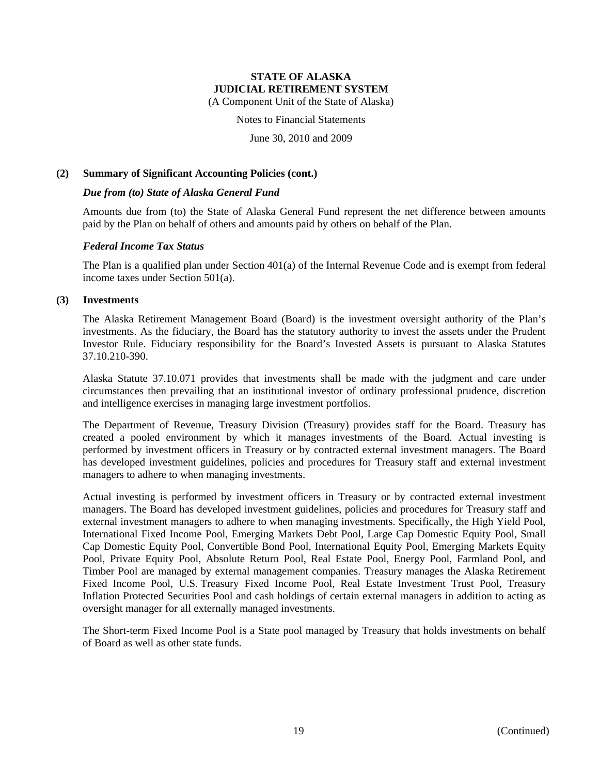(A Component Unit of the State of Alaska)

Notes to Financial Statements

June 30, 2010 and 2009

#### **(2) Summary of Significant Accounting Policies (cont.)**

#### *Due from (to) State of Alaska General Fund*

Amounts due from (to) the State of Alaska General Fund represent the net difference between amounts paid by the Plan on behalf of others and amounts paid by others on behalf of the Plan.

#### *Federal Income Tax Status*

The Plan is a qualified plan under Section 401(a) of the Internal Revenue Code and is exempt from federal income taxes under Section 501(a).

#### **(3) Investments**

The Alaska Retirement Management Board (Board) is the investment oversight authority of the Plan's investments. As the fiduciary, the Board has the statutory authority to invest the assets under the Prudent Investor Rule. Fiduciary responsibility for the Board's Invested Assets is pursuant to Alaska Statutes 37.10.210-390.

Alaska Statute 37.10.071 provides that investments shall be made with the judgment and care under circumstances then prevailing that an institutional investor of ordinary professional prudence, discretion and intelligence exercises in managing large investment portfolios.

The Department of Revenue, Treasury Division (Treasury) provides staff for the Board. Treasury has created a pooled environment by which it manages investments of the Board. Actual investing is performed by investment officers in Treasury or by contracted external investment managers. The Board has developed investment guidelines, policies and procedures for Treasury staff and external investment managers to adhere to when managing investments.

Actual investing is performed by investment officers in Treasury or by contracted external investment managers. The Board has developed investment guidelines, policies and procedures for Treasury staff and external investment managers to adhere to when managing investments. Specifically, the High Yield Pool, International Fixed Income Pool, Emerging Markets Debt Pool, Large Cap Domestic Equity Pool, Small Cap Domestic Equity Pool, Convertible Bond Pool, International Equity Pool, Emerging Markets Equity Pool, Private Equity Pool, Absolute Return Pool, Real Estate Pool, Energy Pool, Farmland Pool, and Timber Pool are managed by external management companies. Treasury manages the Alaska Retirement Fixed Income Pool, U.S. Treasury Fixed Income Pool, Real Estate Investment Trust Pool, Treasury Inflation Protected Securities Pool and cash holdings of certain external managers in addition to acting as oversight manager for all externally managed investments.

The Short-term Fixed Income Pool is a State pool managed by Treasury that holds investments on behalf of Board as well as other state funds.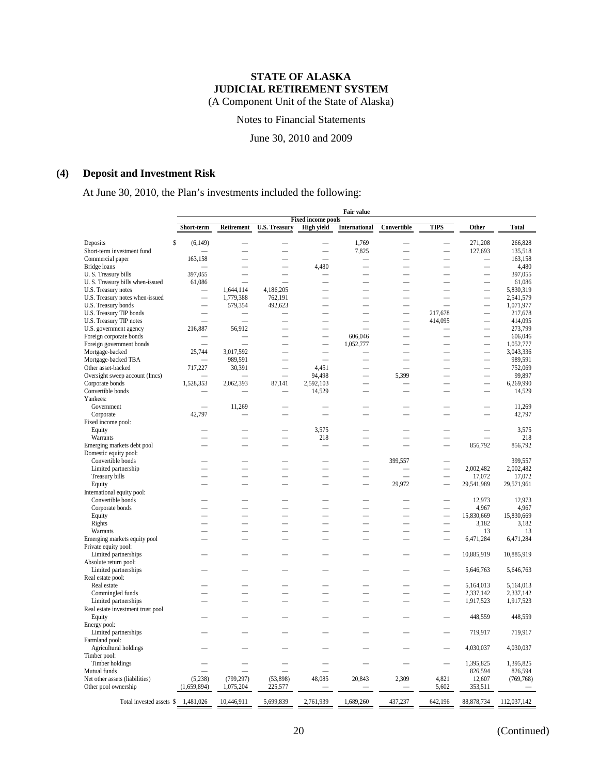(A Component Unit of the State of Alaska)

Notes to Financial Statements

June 30, 2010 and 2009

### **(4) Deposit and Investment Risk**

At June 30, 2010, the Plan's investments included the following:

|                                        | <b>Fair value</b>        |                          |                          |                           |                          |                          |                          |                          |                    |  |
|----------------------------------------|--------------------------|--------------------------|--------------------------|---------------------------|--------------------------|--------------------------|--------------------------|--------------------------|--------------------|--|
|                                        |                          |                          |                          | <b>Fixed income pools</b> |                          |                          |                          |                          |                    |  |
|                                        | Short-term               | Retirement               | <b>U.S. Treasury</b>     | <b>High yield</b>         | International            | Convertible              | TIPS                     | Other                    | <b>Total</b>       |  |
|                                        |                          |                          |                          |                           |                          |                          |                          |                          |                    |  |
| Deposits<br>Short-term investment fund | \$<br>(6,149)            |                          |                          |                           | 1,769<br>7,825           | $\overline{\phantom{0}}$ |                          | 271,208<br>127,693       | 266,828<br>135,518 |  |
| Commercial paper                       | 163,158                  |                          |                          |                           |                          |                          |                          |                          | 163,158            |  |
| Bridge loans                           |                          |                          |                          | 4,480                     |                          |                          |                          |                          | 4,480              |  |
| U.S. Treasury bills                    | 397,055                  | $\overline{\phantom{0}}$ | $\overline{\phantom{0}}$ |                           |                          | $\overline{\phantom{a}}$ |                          | $\overline{\phantom{0}}$ | 397,055            |  |
| U.S. Treasury bills when-issued        | 61,086                   |                          |                          |                           |                          |                          |                          |                          | 61,086             |  |
| U.S. Treasury notes                    |                          | 1,644,114                | 4,186,205                |                           |                          | $\overline{\phantom{0}}$ |                          | $\overline{\phantom{0}}$ | 5,830,319          |  |
| U.S. Treasury notes when-issued        | -                        | 1,779,388                | 762,191                  |                           |                          | $\overline{\phantom{0}}$ |                          | -                        | 2,541,579          |  |
| U.S. Treasury bonds                    |                          | 579,354                  | 492,623                  |                           |                          | $\overline{\phantom{0}}$ |                          | $\overline{\phantom{0}}$ | 1,071,977          |  |
| U.S. Treasury TIP bonds                |                          |                          |                          |                           |                          |                          | 217,678                  |                          | 217,678            |  |
| U.S. Treasury TIP notes                | $\overline{\phantom{a}}$ | $\overline{\phantom{a}}$ |                          |                           | $\overline{\phantom{0}}$ | $\overline{\phantom{0}}$ | 414,095                  | $\overline{\phantom{0}}$ | 414,095            |  |
| U.S. government agency                 | 216,887                  | 56,912                   |                          |                           |                          | $\overline{\phantom{0}}$ |                          |                          | 273,799            |  |
| Foreign corporate bonds                |                          |                          |                          |                           | 606,046                  |                          |                          |                          | 606,046            |  |
| Foreign government bonds               |                          |                          |                          | $\overline{\phantom{0}}$  | 1,052,777                |                          |                          | -                        | 1,052,777          |  |
| Mortgage-backed                        | 25,744                   | 3,017,592                |                          | $\overline{\phantom{0}}$  |                          |                          |                          |                          | 3,043,336          |  |
| Mortgage-backed TBA                    |                          | 989,591                  |                          |                           |                          |                          |                          |                          | 989,591            |  |
| Other asset-backed                     | 717,227                  | 30,391                   | $\overline{\phantom{0}}$ | 4,451                     |                          |                          |                          |                          | 752,069            |  |
| Oversight sweep account (Imcs)         |                          |                          |                          | 94,498                    |                          | 5,399                    |                          |                          | 99,897             |  |
| Corporate bonds                        | 1,528,353                | 2,062,393                | 87.141                   | 2,592,103                 |                          |                          |                          |                          | 6,269,990          |  |
| Convertible bonds                      |                          |                          |                          | 14,529                    |                          |                          |                          |                          | 14,529             |  |
| Yankees:                               |                          |                          |                          |                           |                          |                          |                          |                          |                    |  |
| Government                             |                          | 11,269                   |                          |                           |                          |                          |                          |                          | 11,269             |  |
| Corporate                              | 42,797                   |                          |                          |                           |                          |                          |                          |                          | 42,797             |  |
| Fixed income pool:                     |                          |                          |                          |                           |                          |                          |                          |                          |                    |  |
| Equity                                 |                          |                          |                          | 3,575                     |                          |                          |                          |                          | 3,575              |  |
| Warrants                               |                          |                          |                          | 218                       |                          |                          |                          |                          | 218                |  |
| Emerging markets debt pool             |                          |                          |                          |                           |                          |                          |                          | 856,792                  | 856,792            |  |
| Domestic equity pool:                  |                          |                          |                          |                           |                          |                          |                          |                          |                    |  |
| Convertible bonds                      |                          |                          |                          |                           |                          | 399,557                  |                          |                          | 399,557            |  |
| Limited partnership                    |                          |                          | $\overline{\phantom{0}}$ | $\overline{\phantom{a}}$  | $\overline{\phantom{a}}$ |                          | $\equiv$                 | 2,002,482                | 2,002,482          |  |
| Treasury bills                         |                          |                          |                          |                           |                          |                          |                          | 17,072                   | 17,072             |  |
| Equity                                 |                          |                          |                          |                           |                          | 29,972                   | $\equiv$                 | 29,541,989               | 29,571,961         |  |
| International equity pool:             |                          |                          |                          |                           |                          |                          |                          |                          |                    |  |
| Convertible bonds                      |                          |                          |                          |                           |                          |                          |                          | 12,973                   | 12,973             |  |
| Corporate bonds                        |                          |                          |                          |                           |                          |                          |                          | 4,967                    | 4,967              |  |
| Equity                                 |                          |                          |                          | $\overline{\phantom{a}}$  |                          |                          | $\equiv$                 | 15,830,669               | 15,830,669         |  |
| Rights                                 |                          |                          |                          |                           |                          |                          |                          | 3,182                    | 3,182              |  |
| Warrants                               |                          |                          |                          |                           |                          |                          |                          | 13                       | 13                 |  |
| Emerging markets equity pool           |                          |                          |                          |                           |                          |                          |                          | 6,471,284                | 6,471,284          |  |
| Private equity pool:                   |                          |                          |                          |                           |                          |                          |                          |                          |                    |  |
| Limited partnerships                   |                          |                          |                          |                           |                          |                          |                          | 10,885,919               | 10,885,919         |  |
| Absolute return pool:                  |                          |                          |                          |                           |                          |                          |                          |                          |                    |  |
| Limited partnerships                   |                          |                          |                          |                           |                          |                          |                          | 5,646,763                | 5,646,763          |  |
| Real estate pool:                      |                          |                          |                          |                           |                          |                          |                          |                          |                    |  |
| Real estate                            |                          |                          |                          |                           |                          |                          |                          | 5,164,013                | 5,164,013          |  |
| Commingled funds                       |                          |                          |                          |                           |                          |                          |                          | 2,337,142                | 2,337,142          |  |
| Limited partnerships                   |                          |                          |                          |                           |                          |                          |                          | 1,917,523                | 1,917,523          |  |
| Real estate investment trust pool      |                          |                          |                          |                           |                          |                          |                          |                          |                    |  |
| Equity                                 |                          |                          |                          |                           |                          |                          |                          | 448,559                  | 448,559            |  |
| Energy pool:                           |                          |                          |                          |                           |                          |                          |                          |                          |                    |  |
| Limited partnerships                   |                          |                          |                          |                           |                          |                          |                          | 719,917                  | 719,917            |  |
| Farmland pool:                         |                          |                          |                          |                           |                          |                          |                          |                          |                    |  |
| Agricultural holdings                  |                          |                          |                          |                           |                          |                          |                          | 4,030,037                | 4,030,037          |  |
| Timber pool:                           |                          |                          |                          |                           |                          |                          |                          |                          |                    |  |
| Timber holdings                        |                          |                          |                          |                           |                          |                          | $\overline{\phantom{a}}$ | 1,395,825                | 1,395,825          |  |
| Mutual funds                           |                          |                          |                          |                           |                          |                          |                          | 826,594                  | 826,594            |  |
| Net other assets (liabilities)         | (5,238)                  | (799, 297)               | (53,898)                 | 48,085                    | 20,843                   | 2,309                    | 4,821                    | 12,607                   | (769, 768)         |  |
| Other pool ownership                   | (1,659,894)              | 1,075,204                | 225,577                  |                           |                          |                          | 5,602                    | 353,511                  |                    |  |
| Total invested assets \$               | 1,481,026                | 10,446,911               | 5,699,839                | 2,761,939                 | 1,689,260                | 437,237                  | 642,196                  | 88,878,734               | 112,037,142        |  |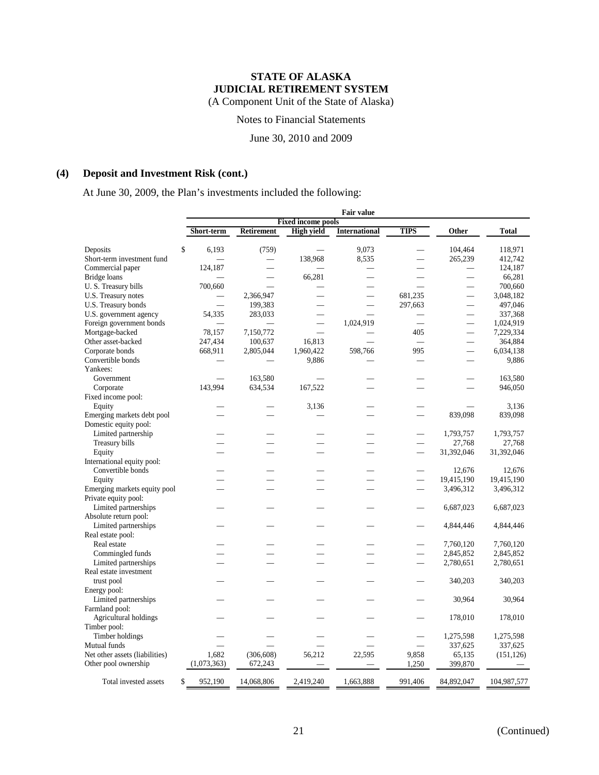(A Component Unit of the State of Alaska)

Notes to Financial Statements

June 30, 2010 and 2009

### **(4) Deposit and Investment Risk (cont.)**

At June 30, 2009, the Plan's investments included the following:

|                                |               | <b>Fair value</b>         |                   |                      |                          |                          |              |  |
|--------------------------------|---------------|---------------------------|-------------------|----------------------|--------------------------|--------------------------|--------------|--|
|                                |               | <b>Fixed income pools</b> |                   |                      |                          |                          |              |  |
|                                | Short-term    | <b>Retirement</b>         | <b>High yield</b> | <b>International</b> | TIPS                     | Other                    | <b>Total</b> |  |
| Deposits                       | \$<br>6,193   | (759)                     |                   | 9.073                |                          | 104,464                  | 118,971      |  |
| Short-term investment fund     |               | $\overline{\phantom{0}}$  | 138,968           | 8,535                |                          | 265,239                  | 412,742      |  |
| Commercial paper               | 124,187       | $\overline{\phantom{0}}$  |                   |                      |                          | $\overline{\phantom{0}}$ | 124,187      |  |
| <b>Bridge</b> loans            |               |                           | 66,281            |                      |                          |                          | 66,281       |  |
| U.S. Treasury bills            | 700,660       |                           |                   |                      |                          | $\overline{\phantom{0}}$ | 700,660      |  |
| U.S. Treasury notes            |               | 2,366,947                 |                   |                      | 681.235                  | $\overline{\phantom{0}}$ | 3,048,182    |  |
| U.S. Treasury bonds            |               | 199,383                   |                   |                      | 297,663                  |                          | 497,046      |  |
|                                | 54,335        |                           |                   |                      |                          |                          | 337,368      |  |
| U.S. government agency         |               | 283,033                   |                   |                      |                          |                          |              |  |
| Foreign government bonds       |               |                           |                   | 1,024,919            |                          |                          | 1,024,919    |  |
| Mortgage-backed                | 78,157        | 7,150,772                 | ÷.                |                      | 405                      | $\overline{\phantom{0}}$ | 7,229,334    |  |
| Other asset-backed             | 247,434       | 100,637                   | 16,813            |                      | $\overline{\phantom{0}}$ |                          | 364,884      |  |
| Corporate bonds                | 668,911       | 2,805,044                 | 1,960,422         | 598,766              | 995                      |                          | 6,034,138    |  |
| Convertible bonds              |               |                           | 9,886             |                      |                          |                          | 9,886        |  |
| Yankees:                       |               |                           |                   |                      |                          |                          |              |  |
| Government                     |               | 163,580                   |                   |                      |                          |                          | 163,580      |  |
| Corporate                      | 143,994       | 634,534                   | 167,522           |                      |                          |                          | 946,050      |  |
| Fixed income pool:             |               |                           |                   |                      |                          |                          |              |  |
| Equity                         |               |                           | 3,136             |                      |                          |                          | 3,136        |  |
| Emerging markets debt pool     |               |                           |                   |                      |                          | 839,098                  | 839,098      |  |
| Domestic equity pool:          |               |                           |                   |                      |                          |                          |              |  |
| Limited partnership            |               |                           |                   |                      | $\overline{\phantom{0}}$ | 1,793,757                | 1,793,757    |  |
| Treasury bills                 |               |                           |                   |                      | $\overline{\phantom{0}}$ | 27,768                   | 27,768       |  |
| Equity                         |               |                           |                   |                      | $\overline{\phantom{0}}$ | 31,392,046               | 31,392,046   |  |
| International equity pool:     |               |                           |                   |                      |                          |                          |              |  |
| Convertible bonds              |               |                           |                   |                      |                          | 12,676                   | 12,676       |  |
| Equity                         |               |                           |                   |                      | $\overline{\phantom{0}}$ | 19,415,190               | 19,415,190   |  |
| Emerging markets equity pool   |               |                           |                   |                      |                          | 3,496,312                | 3,496,312    |  |
| Private equity pool:           |               |                           |                   |                      |                          |                          |              |  |
| Limited partnerships           |               |                           |                   |                      |                          | 6,687,023                | 6,687,023    |  |
| Absolute return pool:          |               |                           |                   |                      |                          |                          |              |  |
| Limited partnerships           |               |                           |                   |                      |                          | 4,844,446                | 4,844,446    |  |
| Real estate pool:              |               |                           |                   |                      |                          |                          |              |  |
|                                |               |                           |                   |                      |                          |                          |              |  |
| Real estate                    |               |                           |                   |                      |                          | 7,760,120                | 7,760,120    |  |
| Commingled funds               |               |                           |                   |                      |                          | 2,845,852                | 2,845,852    |  |
| Limited partnerships           |               |                           |                   |                      |                          | 2,780,651                | 2,780,651    |  |
| Real estate investment         |               |                           |                   |                      |                          |                          |              |  |
| trust pool                     |               |                           |                   |                      |                          | 340,203                  | 340,203      |  |
| Energy pool:                   |               |                           |                   |                      |                          |                          |              |  |
| Limited partnerships           |               |                           |                   |                      |                          | 30,964                   | 30,964       |  |
| Farmland pool:                 |               |                           |                   |                      |                          |                          |              |  |
| Agricultural holdings          |               |                           |                   |                      |                          | 178,010                  | 178,010      |  |
| Timber pool:                   |               |                           |                   |                      |                          |                          |              |  |
| Timber holdings                |               |                           |                   |                      |                          | 1,275,598                | 1,275,598    |  |
| Mutual funds                   |               |                           |                   |                      | $\overline{\phantom{a}}$ | 337,625                  | 337,625      |  |
| Net other assets (liabilities) | 1,682         | (306, 608)                | 56,212            | 22,595               | 9,858                    | 65,135                   | (151, 126)   |  |
| Other pool ownership           | (1,073,363)   | 672,243                   |                   |                      | 1,250                    | 399,870                  |              |  |
|                                |               |                           |                   |                      |                          |                          |              |  |
| Total invested assets          | \$<br>952,190 | 14,068,806                | 2,419,240         | 1,663,888            | 991,406                  | 84,892,047               | 104,987,577  |  |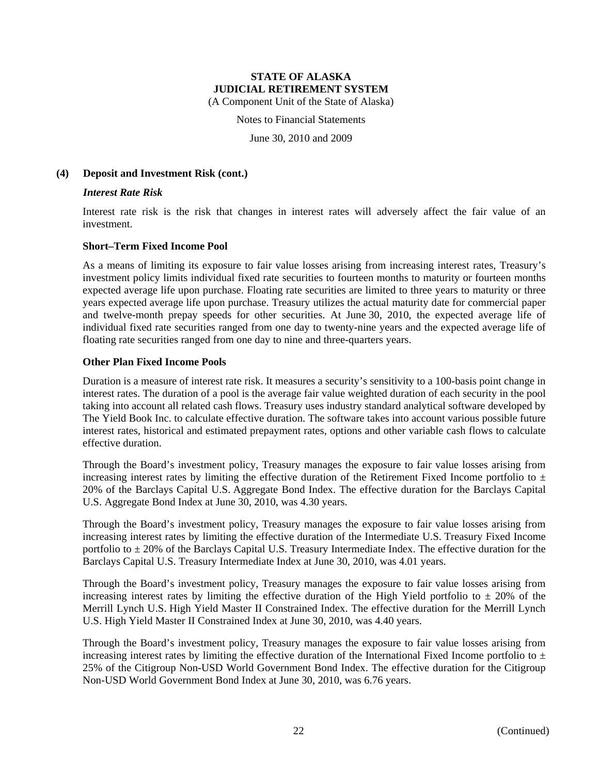(A Component Unit of the State of Alaska)

Notes to Financial Statements

June 30, 2010 and 2009

#### **(4) Deposit and Investment Risk (cont.)**

#### *Interest Rate Risk*

Interest rate risk is the risk that changes in interest rates will adversely affect the fair value of an investment.

#### **Short–Term Fixed Income Pool**

As a means of limiting its exposure to fair value losses arising from increasing interest rates, Treasury's investment policy limits individual fixed rate securities to fourteen months to maturity or fourteen months expected average life upon purchase. Floating rate securities are limited to three years to maturity or three years expected average life upon purchase. Treasury utilizes the actual maturity date for commercial paper and twelve-month prepay speeds for other securities. At June 30, 2010, the expected average life of individual fixed rate securities ranged from one day to twenty-nine years and the expected average life of floating rate securities ranged from one day to nine and three-quarters years.

#### **Other Plan Fixed Income Pools**

Duration is a measure of interest rate risk. It measures a security's sensitivity to a 100-basis point change in interest rates. The duration of a pool is the average fair value weighted duration of each security in the pool taking into account all related cash flows. Treasury uses industry standard analytical software developed by The Yield Book Inc. to calculate effective duration. The software takes into account various possible future interest rates, historical and estimated prepayment rates, options and other variable cash flows to calculate effective duration.

Through the Board's investment policy, Treasury manages the exposure to fair value losses arising from increasing interest rates by limiting the effective duration of the Retirement Fixed Income portfolio to  $\pm$ 20% of the Barclays Capital U.S. Aggregate Bond Index. The effective duration for the Barclays Capital U.S. Aggregate Bond Index at June 30, 2010, was 4.30 years.

Through the Board's investment policy, Treasury manages the exposure to fair value losses arising from increasing interest rates by limiting the effective duration of the Intermediate U.S. Treasury Fixed Income portfolio to  $\pm$  20% of the Barclays Capital U.S. Treasury Intermediate Index. The effective duration for the Barclays Capital U.S. Treasury Intermediate Index at June 30, 2010, was 4.01 years.

Through the Board's investment policy, Treasury manages the exposure to fair value losses arising from increasing interest rates by limiting the effective duration of the High Yield portfolio to  $\pm$  20% of the Merrill Lynch U.S. High Yield Master II Constrained Index. The effective duration for the Merrill Lynch U.S. High Yield Master II Constrained Index at June 30, 2010, was 4.40 years.

Through the Board's investment policy, Treasury manages the exposure to fair value losses arising from increasing interest rates by limiting the effective duration of the International Fixed Income portfolio to  $\pm$ 25% of the Citigroup Non-USD World Government Bond Index. The effective duration for the Citigroup Non-USD World Government Bond Index at June 30, 2010, was 6.76 years.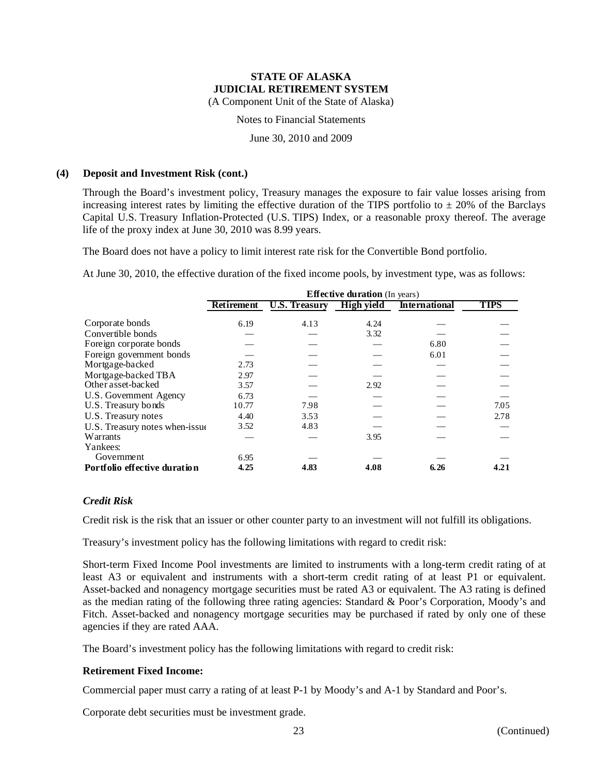(A Component Unit of the State of Alaska)

Notes to Financial Statements

June 30, 2010 and 2009

#### **(4) Deposit and Investment Risk (cont.)**

Through the Board's investment policy, Treasury manages the exposure to fair value losses arising from increasing interest rates by limiting the effective duration of the TIPS portfolio to  $\pm$  20% of the Barclays Capital U.S. Treasury Inflation-Protected (U.S. TIPS) Index, or a reasonable proxy thereof. The average life of the proxy index at June 30, 2010 was 8.99 years.

The Board does not have a policy to limit interest rate risk for the Convertible Bond portfolio.

At June 30, 2010, the effective duration of the fixed income pools, by investment type, was as follows:

|                                | <b>Effective duration</b> (In years) |                      |                   |                      |             |  |  |  |  |
|--------------------------------|--------------------------------------|----------------------|-------------------|----------------------|-------------|--|--|--|--|
|                                | <b>Retirement</b>                    | <b>U.S. Treasury</b> | <b>High yield</b> | <b>International</b> | <b>TIPS</b> |  |  |  |  |
| Corporate bonds                | 6.19                                 | 4.13                 | 4.24              |                      |             |  |  |  |  |
| Convertible bonds              |                                      |                      | 3.32              |                      |             |  |  |  |  |
| Foreign corporate bonds        |                                      |                      |                   | 6.80                 |             |  |  |  |  |
| Foreign government bonds       |                                      |                      |                   | 6.01                 |             |  |  |  |  |
| Mortgage-backed                | 2.73                                 |                      |                   |                      |             |  |  |  |  |
| Mortgage-backed TBA            | 2.97                                 |                      |                   |                      |             |  |  |  |  |
| Other asset-backed             | 3.57                                 |                      | 2.92              |                      |             |  |  |  |  |
| U.S. Government Agency         | 6.73                                 |                      |                   |                      |             |  |  |  |  |
| U.S. Treasury bonds            | 10.77                                | 7.98                 |                   |                      | 7.05        |  |  |  |  |
| U.S. Treasury notes            | 4.40                                 | 3.53                 |                   |                      | 2.78        |  |  |  |  |
| U.S. Treasury notes when-issue | 3.52                                 | 4.83                 |                   |                      |             |  |  |  |  |
| Warrants                       |                                      |                      | 3.95              |                      |             |  |  |  |  |
| Yankees:                       |                                      |                      |                   |                      |             |  |  |  |  |
| Government                     | 6.95                                 |                      |                   |                      |             |  |  |  |  |
| Portfolio effective duration   | 4.25                                 | 4.83                 | 4.08              | 6.26                 | 4.21        |  |  |  |  |

#### *Credit Risk*

Credit risk is the risk that an issuer or other counter party to an investment will not fulfill its obligations.

Treasury's investment policy has the following limitations with regard to credit risk:

Short-term Fixed Income Pool investments are limited to instruments with a long-term credit rating of at least A3 or equivalent and instruments with a short-term credit rating of at least P1 or equivalent. Asset-backed and nonagency mortgage securities must be rated A3 or equivalent. The A3 rating is defined as the median rating of the following three rating agencies: Standard & Poor's Corporation, Moody's and Fitch. Asset-backed and nonagency mortgage securities may be purchased if rated by only one of these agencies if they are rated AAA.

The Board's investment policy has the following limitations with regard to credit risk:

#### **Retirement Fixed Income:**

Commercial paper must carry a rating of at least P-1 by Moody's and A-1 by Standard and Poor's.

Corporate debt securities must be investment grade.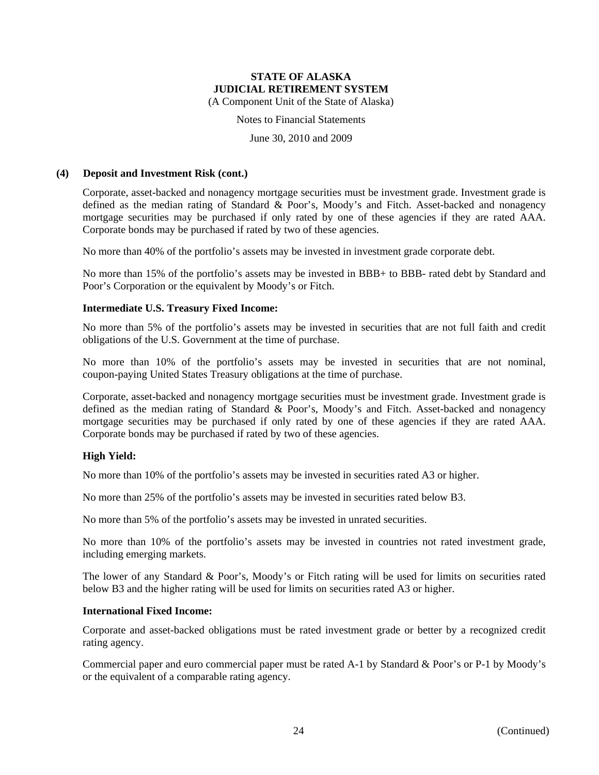(A Component Unit of the State of Alaska)

Notes to Financial Statements

June 30, 2010 and 2009

#### **(4) Deposit and Investment Risk (cont.)**

Corporate, asset-backed and nonagency mortgage securities must be investment grade. Investment grade is defined as the median rating of Standard & Poor's, Moody's and Fitch. Asset-backed and nonagency mortgage securities may be purchased if only rated by one of these agencies if they are rated AAA. Corporate bonds may be purchased if rated by two of these agencies.

No more than 40% of the portfolio's assets may be invested in investment grade corporate debt.

No more than 15% of the portfolio's assets may be invested in BBB+ to BBB- rated debt by Standard and Poor's Corporation or the equivalent by Moody's or Fitch.

#### **Intermediate U.S. Treasury Fixed Income:**

No more than 5% of the portfolio's assets may be invested in securities that are not full faith and credit obligations of the U.S. Government at the time of purchase.

No more than 10% of the portfolio's assets may be invested in securities that are not nominal, coupon-paying United States Treasury obligations at the time of purchase.

Corporate, asset-backed and nonagency mortgage securities must be investment grade. Investment grade is defined as the median rating of Standard & Poor's, Moody's and Fitch. Asset-backed and nonagency mortgage securities may be purchased if only rated by one of these agencies if they are rated AAA. Corporate bonds may be purchased if rated by two of these agencies.

#### **High Yield:**

No more than 10% of the portfolio's assets may be invested in securities rated A3 or higher.

No more than 25% of the portfolio's assets may be invested in securities rated below B3.

No more than 5% of the portfolio's assets may be invested in unrated securities.

No more than 10% of the portfolio's assets may be invested in countries not rated investment grade, including emerging markets.

The lower of any Standard & Poor's, Moody's or Fitch rating will be used for limits on securities rated below B3 and the higher rating will be used for limits on securities rated A3 or higher.

#### **International Fixed Income:**

Corporate and asset-backed obligations must be rated investment grade or better by a recognized credit rating agency.

Commercial paper and euro commercial paper must be rated A-1 by Standard & Poor's or P-1 by Moody's or the equivalent of a comparable rating agency.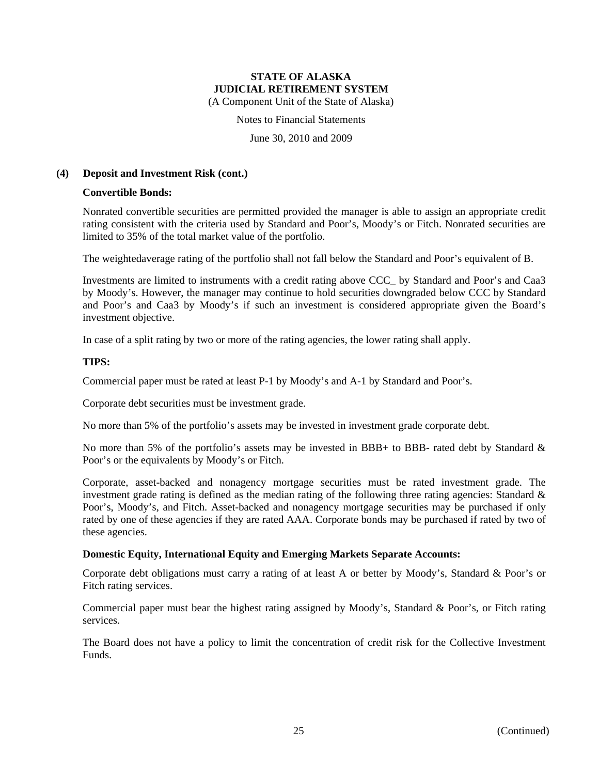(A Component Unit of the State of Alaska)

Notes to Financial Statements

June 30, 2010 and 2009

#### **(4) Deposit and Investment Risk (cont.)**

#### **Convertible Bonds:**

Nonrated convertible securities are permitted provided the manager is able to assign an appropriate credit rating consistent with the criteria used by Standard and Poor's, Moody's or Fitch. Nonrated securities are limited to 35% of the total market value of the portfolio.

The weightedaverage rating of the portfolio shall not fall below the Standard and Poor's equivalent of B.

Investments are limited to instruments with a credit rating above CCC\_ by Standard and Poor's and Caa3 by Moody's. However, the manager may continue to hold securities downgraded below CCC by Standard and Poor's and Caa3 by Moody's if such an investment is considered appropriate given the Board's investment objective.

In case of a split rating by two or more of the rating agencies, the lower rating shall apply.

#### **TIPS:**

Commercial paper must be rated at least P-1 by Moody's and A-1 by Standard and Poor's.

Corporate debt securities must be investment grade.

No more than 5% of the portfolio's assets may be invested in investment grade corporate debt.

No more than 5% of the portfolio's assets may be invested in BBB+ to BBB- rated debt by Standard  $\&$ Poor's or the equivalents by Moody's or Fitch.

Corporate, asset-backed and nonagency mortgage securities must be rated investment grade. The investment grade rating is defined as the median rating of the following three rating agencies: Standard & Poor's, Moody's, and Fitch. Asset-backed and nonagency mortgage securities may be purchased if only rated by one of these agencies if they are rated AAA. Corporate bonds may be purchased if rated by two of these agencies.

### **Domestic Equity, International Equity and Emerging Markets Separate Accounts:**

Corporate debt obligations must carry a rating of at least A or better by Moody's, Standard & Poor's or Fitch rating services.

Commercial paper must bear the highest rating assigned by Moody's, Standard & Poor's, or Fitch rating services.

The Board does not have a policy to limit the concentration of credit risk for the Collective Investment Funds.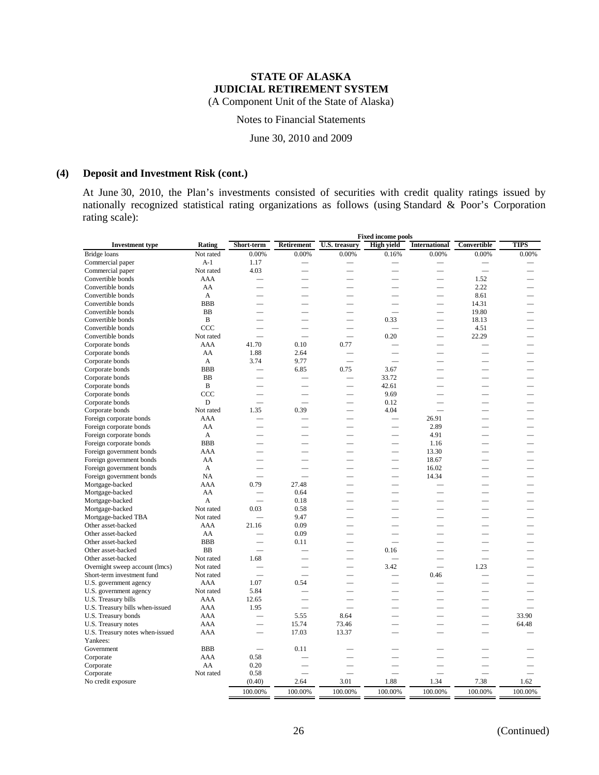(A Component Unit of the State of Alaska)

Notes to Financial Statements

June 30, 2010 and 2009

### **(4) Deposit and Investment Risk (cont.)**

At June 30, 2010, the Plan's investments consisted of securities with credit quality ratings issued by nationally recognized statistical rating organizations as follows (using Standard & Poor's Corporation rating scale):

|                                 |                | <b>Fixed income pools</b> |                          |                          |                          |                          |                          |         |  |
|---------------------------------|----------------|---------------------------|--------------------------|--------------------------|--------------------------|--------------------------|--------------------------|---------|--|
| <b>Investment type</b>          | Rating         | Short-term                | Retirement               | U.S. treasury            | <b>High yield</b>        | <b>International</b>     | Convertible              | TIPS    |  |
| Bridge loans                    | Not rated      | 0.00%                     | 0.00%                    | 0.00%                    | 0.16%                    | 0.00%                    | 0.00%                    | 0.00%   |  |
| Commercial paper                | $A-1$          | 1.17                      |                          |                          |                          |                          |                          |         |  |
| Commercial paper                | Not rated      | 4.03                      |                          |                          |                          |                          | $\overline{\phantom{0}}$ |         |  |
| Convertible bonds               | AAA            |                           |                          | $\overline{\phantom{0}}$ |                          | $\overline{\phantom{0}}$ | 1.52                     |         |  |
| Convertible bonds               | AA             |                           |                          |                          |                          |                          | 2.22                     |         |  |
| Convertible bonds               | $\overline{A}$ |                           |                          |                          |                          |                          | 8.61                     |         |  |
| Convertible bonds               | <b>BBB</b>     |                           |                          | $\overline{\phantom{0}}$ |                          | $\overline{\phantom{0}}$ | 14.31                    |         |  |
| Convertible bonds               | BB             | $\overline{\phantom{a}}$  | $\overline{\phantom{0}}$ | $\overline{\phantom{0}}$ | $\overline{\phantom{0}}$ | $\overline{\phantom{0}}$ | 19.80                    |         |  |
| Convertible bonds               | $\, {\bf B}$   |                           |                          | $\overline{\phantom{0}}$ | 0.33                     | $\overline{\phantom{0}}$ | 18.13                    |         |  |
| Convertible bonds               | CCC            |                           |                          | $\overline{\phantom{0}}$ |                          |                          | 4.51                     |         |  |
| Convertible bonds               | Not rated      |                           |                          | $\overline{\phantom{0}}$ | 0.20                     | $\overline{\phantom{0}}$ | 22.29                    |         |  |
| Corporate bonds                 | AAA            | 41.70                     | 0.10                     | 0.77                     |                          | $\overline{\phantom{0}}$ |                          |         |  |
| Corporate bonds                 | AA             | 1.88                      | 2.64                     |                          |                          |                          |                          |         |  |
| Corporate bonds                 | A              | 3.74                      | 9.77                     | $\overline{\phantom{0}}$ |                          |                          |                          |         |  |
| Corporate bonds                 | <b>BBB</b>     |                           | 6.85                     | 0.75                     | 3.67                     |                          |                          |         |  |
| Corporate bonds                 | <b>BB</b>      |                           |                          | $\overline{\phantom{0}}$ | 33.72                    | $\overline{\phantom{a}}$ |                          |         |  |
| Corporate bonds                 | $\, {\bf B}$   |                           |                          | $\overline{\phantom{0}}$ | 42.61                    |                          |                          |         |  |
| Corporate bonds                 | CCC            |                           |                          |                          | 9.69                     |                          |                          |         |  |
|                                 | D              |                           | $\overline{\phantom{0}}$ | $\overline{\phantom{a}}$ | 0.12                     | $\overline{\phantom{a}}$ |                          |         |  |
| Corporate bonds                 | Not rated      | 1.35                      | 0.39                     |                          | 4.04                     |                          | $\overline{\phantom{0}}$ |         |  |
| Corporate bonds                 | AAA            |                           |                          |                          |                          | 26.91                    |                          |         |  |
| Foreign corporate bonds         |                |                           |                          |                          |                          |                          |                          |         |  |
| Foreign corporate bonds         | AA             |                           |                          |                          |                          | 2.89                     |                          |         |  |
| Foreign corporate bonds         | A              |                           |                          |                          |                          | 4.91                     |                          |         |  |
| Foreign corporate bonds         | <b>BBB</b>     | $\overline{\phantom{0}}$  | $\overline{\phantom{0}}$ |                          | $\overline{\phantom{0}}$ | 1.16                     |                          |         |  |
| Foreign government bonds        | AAA            |                           |                          |                          |                          | 13.30                    |                          |         |  |
| Foreign government bonds        | AA             |                           |                          |                          |                          | 18.67                    |                          |         |  |
| Foreign government bonds        | A              |                           |                          |                          | $\overline{\phantom{0}}$ | 16.02                    |                          |         |  |
| Foreign government bonds        | NA             |                           |                          |                          |                          | 14.34                    |                          |         |  |
| Mortgage-backed                 | AAA            | 0.79                      | 27.48                    |                          |                          |                          |                          |         |  |
| Mortgage-backed                 | AA             |                           | 0.64                     |                          |                          |                          |                          |         |  |
| Mortgage-backed                 | A              |                           | 0.18                     |                          |                          |                          |                          |         |  |
| Mortgage-backed                 | Not rated      | 0.03                      | 0.58                     |                          |                          |                          |                          |         |  |
| Mortgage-backed TBA             | Not rated      |                           | 9.47                     |                          |                          |                          |                          |         |  |
| Other asset-backed              | AAA            | 21.16                     | 0.09                     |                          |                          |                          |                          |         |  |
| Other asset-backed              | AA             |                           | 0.09                     |                          |                          |                          |                          |         |  |
| Other asset-backed              | <b>BBB</b>     | $\overline{\phantom{a}}$  | 0.11                     |                          |                          | $\sim$                   |                          |         |  |
| Other asset-backed              | <b>BB</b>      |                           |                          |                          | 0.16                     |                          |                          |         |  |
| Other asset-backed              | Not rated      | 1.68                      |                          |                          |                          |                          |                          |         |  |
| Overnight sweep account (lmcs)  | Not rated      |                           |                          |                          | 3.42                     |                          | 1.23                     |         |  |
| Short-term investment fund      | Not rated      | $\overline{\phantom{0}}$  | $\overline{\phantom{0}}$ | $\overline{\phantom{0}}$ |                          | 0.46                     |                          |         |  |
| U.S. government agency          | <b>AAA</b>     | 1.07                      | 0.54                     |                          |                          |                          |                          |         |  |
| U.S. government agency          | Not rated      | 5.84                      |                          |                          |                          |                          |                          |         |  |
| U.S. Treasury bills             | <b>AAA</b>     | 12.65                     | -                        |                          |                          |                          |                          |         |  |
| U.S. Treasury bills when-issued | AAA            | 1.95                      |                          | $\overline{\phantom{a}}$ |                          | $\overline{\phantom{a}}$ |                          |         |  |
| U.S. Treasury bonds             | AAA            |                           | 5.55                     | 8.64                     |                          |                          |                          | 33.90   |  |
| U.S. Treasury notes             | AAA            | $\overline{\phantom{0}}$  | 15.74                    | 73.46                    |                          |                          |                          | 64.48   |  |
| U.S. Treasury notes when-issued | AAA            |                           | 17.03                    | 13.37                    |                          |                          | $\overline{\phantom{0}}$ |         |  |
| Yankees:                        |                |                           |                          |                          |                          |                          |                          |         |  |
| Government                      | <b>BBB</b>     |                           | 0.11                     |                          |                          |                          |                          |         |  |
| Corporate                       | AAA            | 0.58                      |                          |                          |                          |                          |                          |         |  |
| Corporate                       | AA             | 0.20                      |                          | $\overline{\phantom{a}}$ |                          |                          |                          |         |  |
| Corporate                       | Not rated      | 0.58                      | ▃                        | $\overline{\phantom{0}}$ |                          | –                        |                          |         |  |
| No credit exposure              |                | (0.40)                    | 2.64                     | 3.01                     | 1.88                     | 1.34                     | 7.38                     | 1.62    |  |
|                                 |                | 100.00%                   | 100.00%                  | 100.00%                  | 100.00%                  | 100.00%                  | 100.00%                  | 100.00% |  |
|                                 |                |                           |                          |                          |                          |                          |                          |         |  |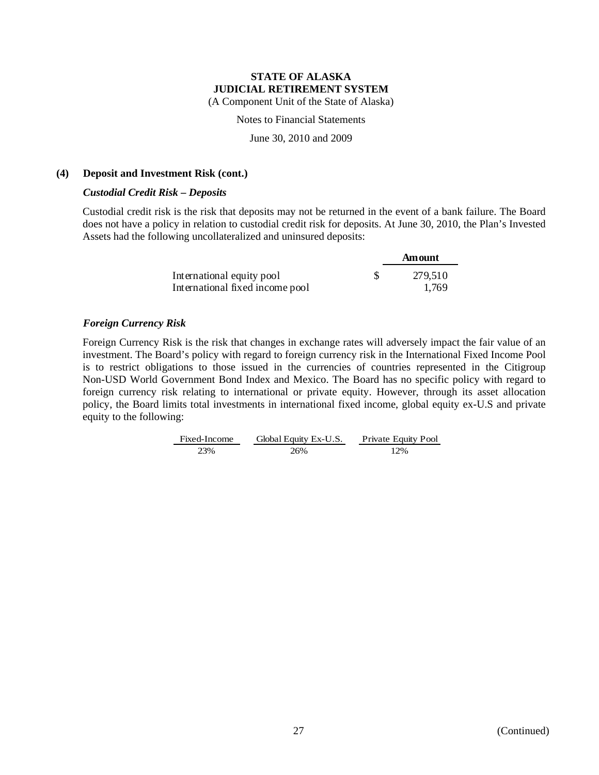(A Component Unit of the State of Alaska)

Notes to Financial Statements

June 30, 2010 and 2009

#### **(4) Deposit and Investment Risk (cont.)**

#### *Custodial Credit Risk – Deposits*

Custodial credit risk is the risk that deposits may not be returned in the event of a bank failure. The Board does not have a policy in relation to custodial credit risk for deposits. At June 30, 2010, the Plan's Invested Assets had the following uncollateralized and uninsured deposits:

|                                 | Amount  |
|---------------------------------|---------|
| International equity pool       | 279,510 |
| International fixed income pool | 1.769   |

### *Foreign Currency Risk*

Foreign Currency Risk is the risk that changes in exchange rates will adversely impact the fair value of an investment. The Board's policy with regard to foreign currency risk in the International Fixed Income Pool is to restrict obligations to those issued in the currencies of countries represented in the Citigroup Non-USD World Government Bond Index and Mexico. The Board has no specific policy with regard to foreign currency risk relating to international or private equity. However, through its asset allocation policy, the Board limits total investments in international fixed income, global equity ex-U.S and private equity to the following:

> Fixed-Income Global Equity Ex-U.S. Private Equity Pool 23% 26% 12%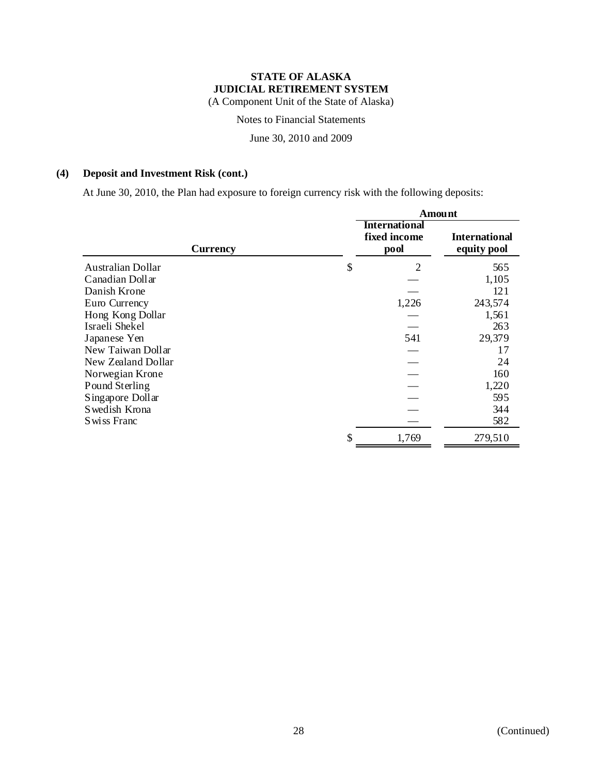(A Component Unit of the State of Alaska)

Notes to Financial Statements

June 30, 2010 and 2009

### **(4) Deposit and Investment Risk (cont.)**

At June 30, 2010, the Plan had exposure to foreign currency risk with the following deposits:

|                          | <b>Amount</b>                                |                                     |  |  |
|--------------------------|----------------------------------------------|-------------------------------------|--|--|
| <b>Currency</b>          | <b>International</b><br>fixed income<br>pool | <b>International</b><br>equity pool |  |  |
| <b>Australian Dollar</b> | \$<br>$\overline{2}$                         | 565                                 |  |  |
| Canadian Dollar          |                                              | 1,105                               |  |  |
| Danish Krone             |                                              | 121                                 |  |  |
| Euro Currency            | 1,226                                        | 243,574                             |  |  |
| Hong Kong Dollar         |                                              | 1,561                               |  |  |
| Israeli Shekel           |                                              | 263                                 |  |  |
| Japanese Yen             | 541                                          | 29,379                              |  |  |
| New Taiwan Dollar        |                                              | 17                                  |  |  |
| New Zealand Dollar       |                                              | 24                                  |  |  |
| Norwegian Krone          |                                              | 160                                 |  |  |
| Pound Sterling           |                                              | 1,220                               |  |  |
| Singapore Dollar         |                                              | 595                                 |  |  |
| Swedish Krona            |                                              | 344                                 |  |  |
| S wiss Franc             |                                              | 582                                 |  |  |
|                          | \$<br>1,769                                  | 279,510                             |  |  |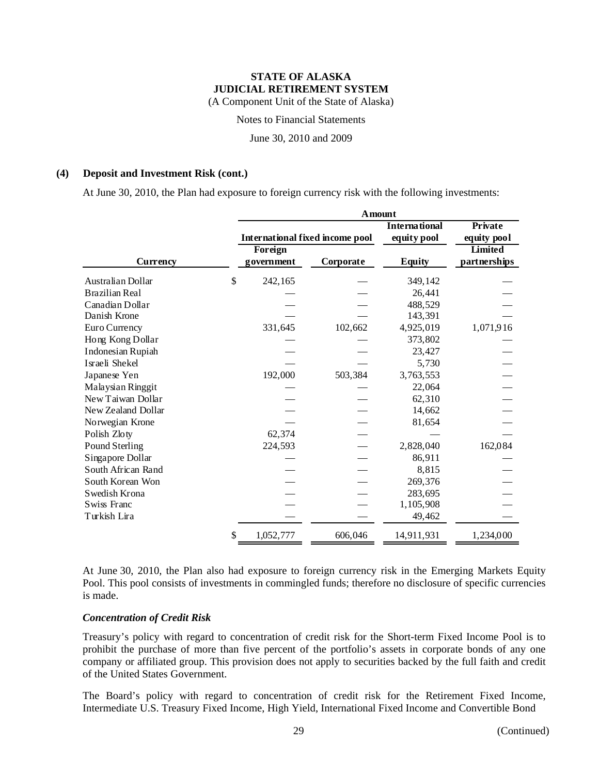(A Component Unit of the State of Alaska)

Notes to Financial Statements

June 30, 2010 and 2009

#### **(4) Deposit and Investment Risk (cont.)**

At June 30, 2010, the Plan had exposure to foreign currency risk with the following investments:

|                       |    | <b>Amount</b> |                                        |                      |                |  |  |  |  |
|-----------------------|----|---------------|----------------------------------------|----------------------|----------------|--|--|--|--|
|                       |    |               |                                        | <b>International</b> | Private        |  |  |  |  |
|                       |    |               | <b>International fixed income pool</b> | equity pool          | equity pool    |  |  |  |  |
|                       |    | Foreign       |                                        |                      | <b>Limited</b> |  |  |  |  |
| Currency              |    | government    | Corporate                              | <b>Equity</b>        | partnerships   |  |  |  |  |
| Australian Dollar     | \$ | 242,165       |                                        | 349,142              |                |  |  |  |  |
| <b>Brazilian Real</b> |    |               |                                        | 26,441               |                |  |  |  |  |
| Canadian Dollar       |    |               |                                        | 488,529              |                |  |  |  |  |
| Danish Krone          |    |               |                                        | 143,391              |                |  |  |  |  |
| Euro Currency         |    | 331,645       | 102,662                                | 4,925,019            | 1,071,916      |  |  |  |  |
| Hong Kong Dollar      |    |               |                                        | 373,802              |                |  |  |  |  |
| Indonesian Rupiah     |    |               |                                        | 23,427               |                |  |  |  |  |
| Israeli Shekel        |    |               |                                        | 5,730                |                |  |  |  |  |
| Japanese Yen          |    | 192,000       | 503,384                                | 3,763,553            |                |  |  |  |  |
| Malaysian Ringgit     |    |               |                                        | 22,064               |                |  |  |  |  |
| New Taiwan Dollar     |    |               |                                        | 62,310               |                |  |  |  |  |
| New Zealand Dollar    |    |               |                                        | 14,662               |                |  |  |  |  |
| Norwegian Krone       |    |               |                                        | 81,654               |                |  |  |  |  |
| Polish Zloty          |    | 62,374        |                                        |                      |                |  |  |  |  |
| Pound Sterling        |    | 224,593       |                                        | 2,828,040            | 162,084        |  |  |  |  |
| Singapore Dollar      |    |               |                                        | 86,911               |                |  |  |  |  |
| South African Rand    |    |               |                                        | 8,815                |                |  |  |  |  |
| South Korean Won      |    |               |                                        | 269,376              |                |  |  |  |  |
| Swedish Krona         |    |               |                                        | 283,695              |                |  |  |  |  |
| Swiss Franc           |    |               |                                        | 1,105,908            |                |  |  |  |  |
| Turkish Lira          |    |               |                                        | 49,462               |                |  |  |  |  |
|                       | \$ | 1,052,777     | 606,046                                | 14,911,931           | 1,234,000      |  |  |  |  |

At June 30, 2010, the Plan also had exposure to foreign currency risk in the Emerging Markets Equity Pool. This pool consists of investments in commingled funds; therefore no disclosure of specific currencies is made.

#### *Concentration of Credit Risk*

Treasury's policy with regard to concentration of credit risk for the Short-term Fixed Income Pool is to prohibit the purchase of more than five percent of the portfolio's assets in corporate bonds of any one company or affiliated group. This provision does not apply to securities backed by the full faith and credit of the United States Government.

The Board's policy with regard to concentration of credit risk for the Retirement Fixed Income, Intermediate U.S. Treasury Fixed Income, High Yield, International Fixed Income and Convertible Bond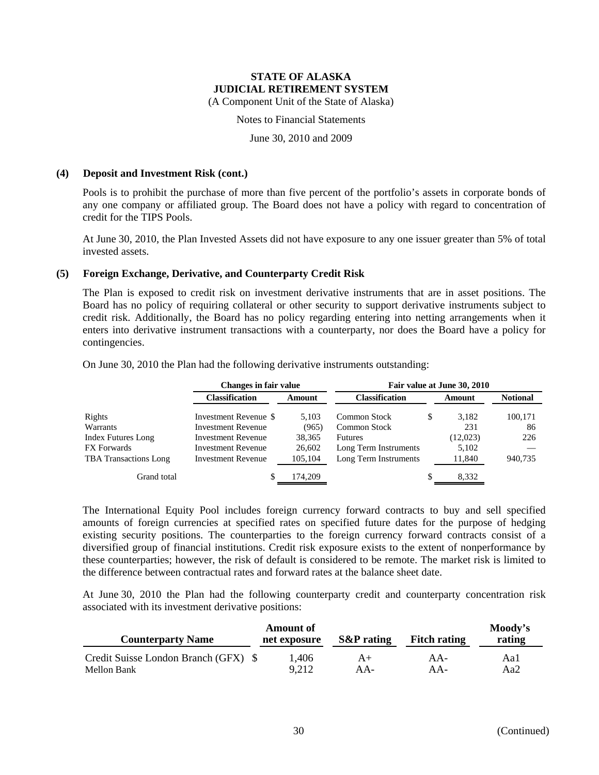(A Component Unit of the State of Alaska)

Notes to Financial Statements

June 30, 2010 and 2009

#### **(4) Deposit and Investment Risk (cont.)**

Pools is to prohibit the purchase of more than five percent of the portfolio's assets in corporate bonds of any one company or affiliated group. The Board does not have a policy with regard to concentration of credit for the TIPS Pools.

At June 30, 2010, the Plan Invested Assets did not have exposure to any one issuer greater than 5% of total invested assets.

#### **(5) Foreign Exchange, Derivative, and Counterparty Credit Risk**

The Plan is exposed to credit risk on investment derivative instruments that are in asset positions. The Board has no policy of requiring collateral or other security to support derivative instruments subject to credit risk. Additionally, the Board has no policy regarding entering into netting arrangements when it enters into derivative instrument transactions with a counterparty, nor does the Board have a policy for contingencies.

On June 30, 2010 the Plan had the following derivative instruments outstanding:

|                              | <b>Changes in fair value</b> | Fair value at June 30, 2010 |                       |   |          |                 |  |
|------------------------------|------------------------------|-----------------------------|-----------------------|---|----------|-----------------|--|
|                              | <b>Classification</b>        | Amount                      | <b>Classification</b> |   | Amount   | <b>Notional</b> |  |
| Rights                       | Investment Revenue \$        | 5.103                       | Common Stock          | S | 3.182    | 100,171         |  |
| Warrants                     | <b>Investment Revenue</b>    | (965)                       | <b>Common Stock</b>   |   | 231      | 86              |  |
| <b>Index Futures Long</b>    | <b>Investment Revenue</b>    | 38,365                      | <b>Futures</b>        |   | (12,023) | 226             |  |
| <b>FX</b> Forwards           | <b>Investment Revenue</b>    | 26,602                      | Long Term Instruments |   | 5.102    |                 |  |
| <b>TBA</b> Transactions Long | <b>Investment Revenue</b>    | 105,104                     | Long Term Instruments |   | 11,840   | 940,735         |  |
| Grand total                  |                              | 174,209                     |                       | S | 8,332    |                 |  |

The International Equity Pool includes foreign currency forward contracts to buy and sell specified amounts of foreign currencies at specified rates on specified future dates for the purpose of hedging existing security positions. The counterparties to the foreign currency forward contracts consist of a diversified group of financial institutions. Credit risk exposure exists to the extent of nonperformance by these counterparties; however, the risk of default is considered to be remote. The market risk is limited to the difference between contractual rates and forward rates at the balance sheet date.

At June 30, 2010 the Plan had the following counterparty credit and counterparty concentration risk associated with its investment derivative positions:

| <b>Counterparty Name</b>             | <b>Amount of</b><br>net exposure | <b>S&amp;P</b> rating | <b>Fitch rating</b> | Moody's<br>rating |
|--------------------------------------|----------------------------------|-----------------------|---------------------|-------------------|
| Credit Suisse London Branch (GFX) \$ | 1.406                            | $A+$                  | $AA-$               | Aal               |
| Mellon Bank                          | 9,212                            | $AA-$                 | AA-                 | Aa2               |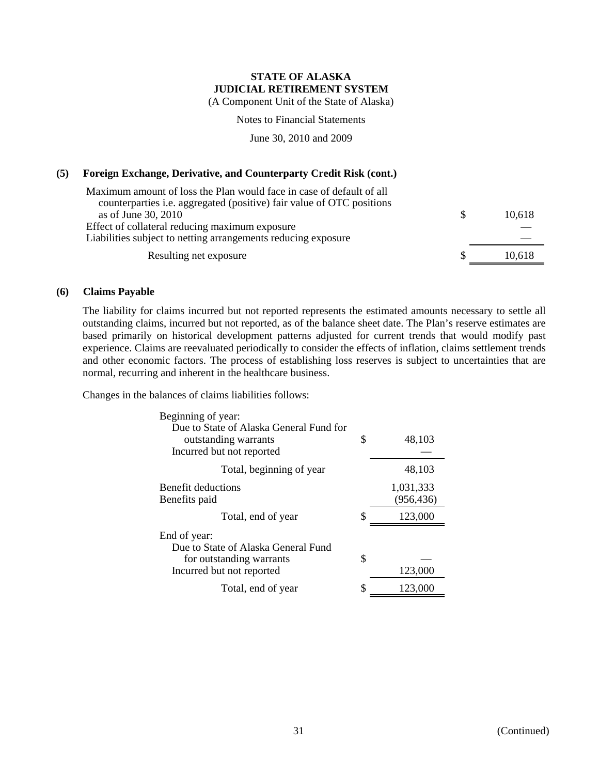(A Component Unit of the State of Alaska)

Notes to Financial Statements

June 30, 2010 and 2009

#### **(5) Foreign Exchange, Derivative, and Counterparty Credit Risk (cont.)**

| Maximum amount of loss the Plan would face in case of default of all         |        |
|------------------------------------------------------------------------------|--------|
| counterparties <i>i.e.</i> aggregated (positive) fair value of OTC positions |        |
| as of June 30, 2010                                                          | 10.618 |
| Effect of collateral reducing maximum exposure                               |        |
| Liabilities subject to netting arrangements reducing exposure                |        |
| Resulting net exposure                                                       | 10,618 |

#### **(6) Claims Payable**

The liability for claims incurred but not reported represents the estimated amounts necessary to settle all outstanding claims, incurred but not reported, as of the balance sheet date. The Plan's reserve estimates are based primarily on historical development patterns adjusted for current trends that would modify past experience. Claims are reevaluated periodically to consider the effects of inflation, claims settlement trends and other economic factors. The process of establishing loss reserves is subject to uncertainties that are normal, recurring and inherent in the healthcare business.

Changes in the balances of claims liabilities follows:

| Beginning of year:                                                                           |    |                         |
|----------------------------------------------------------------------------------------------|----|-------------------------|
| Due to State of Alaska General Fund for<br>outstanding warrants<br>Incurred but not reported | \$ | 48,103                  |
| Total, beginning of year                                                                     |    | 48,103                  |
| Benefit deductions<br>Benefits paid                                                          |    | 1,031,333<br>(956, 436) |
| Total, end of year                                                                           | \$ | 123,000                 |
| End of year:<br>Due to State of Alaska General Fund                                          |    |                         |
| for outstanding warrants                                                                     | \$ |                         |
| Incurred but not reported                                                                    |    | 123,000                 |
| Total, end of year                                                                           | S  | 123,000                 |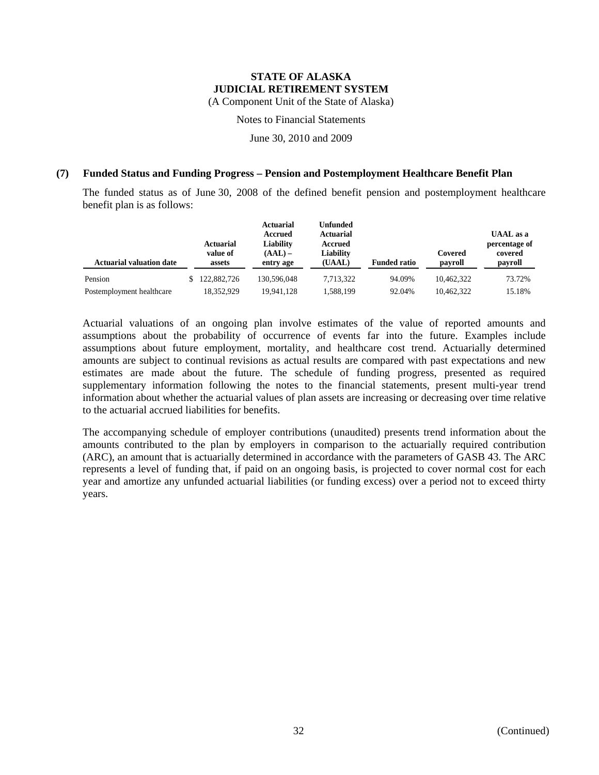(A Component Unit of the State of Alaska)

Notes to Financial Statements

June 30, 2010 and 2009

#### **(7) Funded Status and Funding Progress – Pension and Postemployment Healthcare Benefit Plan**

The funded status as of June 30, 2008 of the defined benefit pension and postemployment healthcare benefit plan is as follows:

| <b>Actuarial valuation date</b> | <b>Actuarial</b><br>value of<br>assets | <b>Actuarial</b><br>Accrued<br>Liability<br>$(AAL)$ –<br>entry age | <b>Unfunded</b><br><b>Actuarial</b><br>Accrued<br>Liability<br>(UAAL) | <b>Funded ratio</b> | Covered<br>payroll | <b>UAAL</b> as a<br>percentage of<br>covered<br>payroll |
|---------------------------------|----------------------------------------|--------------------------------------------------------------------|-----------------------------------------------------------------------|---------------------|--------------------|---------------------------------------------------------|
| Pension                         | 122,882,726                            | 130,596,048                                                        | 7.713.322                                                             | 94.09%              | 10.462.322         | 73.72%                                                  |
| Postemployment healthcare       | 18,352,929                             | 19,941,128                                                         | 1,588,199                                                             | 92.04%              | 10.462.322         | 15.18%                                                  |

Actuarial valuations of an ongoing plan involve estimates of the value of reported amounts and assumptions about the probability of occurrence of events far into the future. Examples include assumptions about future employment, mortality, and healthcare cost trend. Actuarially determined amounts are subject to continual revisions as actual results are compared with past expectations and new estimates are made about the future. The schedule of funding progress, presented as required supplementary information following the notes to the financial statements, present multi-year trend information about whether the actuarial values of plan assets are increasing or decreasing over time relative to the actuarial accrued liabilities for benefits.

The accompanying schedule of employer contributions (unaudited) presents trend information about the amounts contributed to the plan by employers in comparison to the actuarially required contribution (ARC), an amount that is actuarially determined in accordance with the parameters of GASB 43. The ARC represents a level of funding that, if paid on an ongoing basis, is projected to cover normal cost for each year and amortize any unfunded actuarial liabilities (or funding excess) over a period not to exceed thirty years.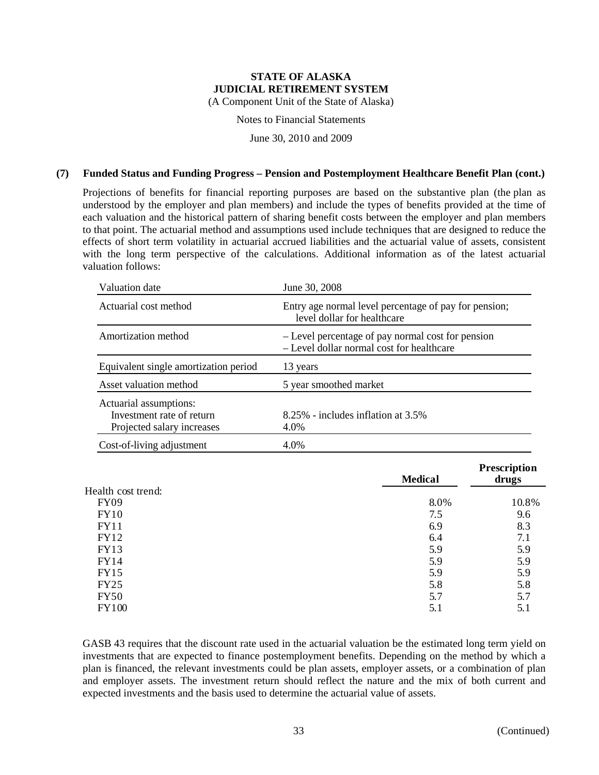(A Component Unit of the State of Alaska)

Notes to Financial Statements

June 30, 2010 and 2009

#### **(7) Funded Status and Funding Progress – Pension and Postemployment Healthcare Benefit Plan (cont.)**

Projections of benefits for financial reporting purposes are based on the substantive plan (the plan as understood by the employer and plan members) and include the types of benefits provided at the time of each valuation and the historical pattern of sharing benefit costs between the employer and plan members to that point. The actuarial method and assumptions used include techniques that are designed to reduce the effects of short term volatility in actuarial accrued liabilities and the actuarial value of assets, consistent with the long term perspective of the calculations. Additional information as of the latest actuarial valuation follows:

| Valuation date                                                                    | June 30, 2008                                                                                  |
|-----------------------------------------------------------------------------------|------------------------------------------------------------------------------------------------|
| Actuarial cost method                                                             | Entry age normal level percentage of pay for pension;<br>level dollar for healthcare           |
| Amortization method                                                               | - Level percentage of pay normal cost for pension<br>- Level dollar normal cost for healthcare |
| Equivalent single amortization period                                             | 13 years                                                                                       |
| Asset valuation method                                                            | 5 year smoothed market                                                                         |
| Actuarial assumptions:<br>Investment rate of return<br>Projected salary increases | $8.25\%$ - includes inflation at $3.5\%$<br>4.0%                                               |
| Cost-of-living adjustment                                                         | 4.0%                                                                                           |

|                    | <b>Medical</b> | <b>Prescription</b><br>drugs |
|--------------------|----------------|------------------------------|
| Health cost trend: |                |                              |
| <b>FY09</b>        | 8.0%           | 10.8%                        |
| <b>FY10</b>        | 7.5            | 9.6                          |
| FY11               | 6.9            | 8.3                          |
| FY12               | 6.4            | 7.1                          |
| <b>FY13</b>        | 5.9            | 5.9                          |
| FY14               | 5.9            | 5.9                          |
| <b>FY15</b>        | 5.9            | 5.9                          |
| <b>FY25</b>        | 5.8            | 5.8                          |
| <b>FY50</b>        | 5.7            | 5.7                          |
| <b>FY100</b>       | 5.1            | 5.1                          |
|                    |                |                              |

GASB 43 requires that the discount rate used in the actuarial valuation be the estimated long term yield on investments that are expected to finance postemployment benefits. Depending on the method by which a plan is financed, the relevant investments could be plan assets, employer assets, or a combination of plan and employer assets. The investment return should reflect the nature and the mix of both current and expected investments and the basis used to determine the actuarial value of assets.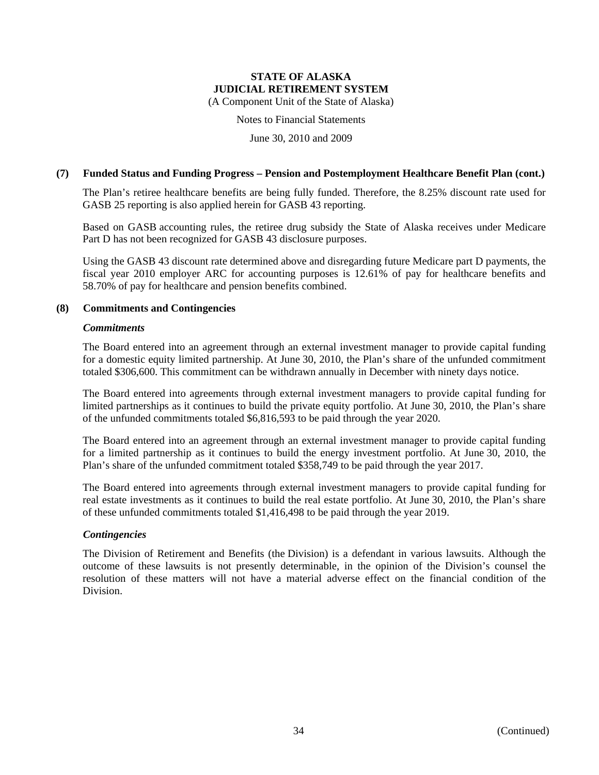(A Component Unit of the State of Alaska)

Notes to Financial Statements

June 30, 2010 and 2009

#### **(7) Funded Status and Funding Progress – Pension and Postemployment Healthcare Benefit Plan (cont.)**

The Plan's retiree healthcare benefits are being fully funded. Therefore, the 8.25% discount rate used for GASB 25 reporting is also applied herein for GASB 43 reporting.

Based on GASB accounting rules, the retiree drug subsidy the State of Alaska receives under Medicare Part D has not been recognized for GASB 43 disclosure purposes.

Using the GASB 43 discount rate determined above and disregarding future Medicare part D payments, the fiscal year 2010 employer ARC for accounting purposes is 12.61% of pay for healthcare benefits and 58.70% of pay for healthcare and pension benefits combined.

#### **(8) Commitments and Contingencies**

#### *Commitments*

The Board entered into an agreement through an external investment manager to provide capital funding for a domestic equity limited partnership. At June 30, 2010, the Plan's share of the unfunded commitment totaled \$306,600. This commitment can be withdrawn annually in December with ninety days notice.

The Board entered into agreements through external investment managers to provide capital funding for limited partnerships as it continues to build the private equity portfolio. At June 30, 2010, the Plan's share of the unfunded commitments totaled \$6,816,593 to be paid through the year 2020.

The Board entered into an agreement through an external investment manager to provide capital funding for a limited partnership as it continues to build the energy investment portfolio. At June 30, 2010, the Plan's share of the unfunded commitment totaled \$358,749 to be paid through the year 2017.

The Board entered into agreements through external investment managers to provide capital funding for real estate investments as it continues to build the real estate portfolio. At June 30, 2010, the Plan's share of these unfunded commitments totaled \$1,416,498 to be paid through the year 2019.

#### *Contingencies*

The Division of Retirement and Benefits (the Division) is a defendant in various lawsuits. Although the outcome of these lawsuits is not presently determinable, in the opinion of the Division's counsel the resolution of these matters will not have a material adverse effect on the financial condition of the Division.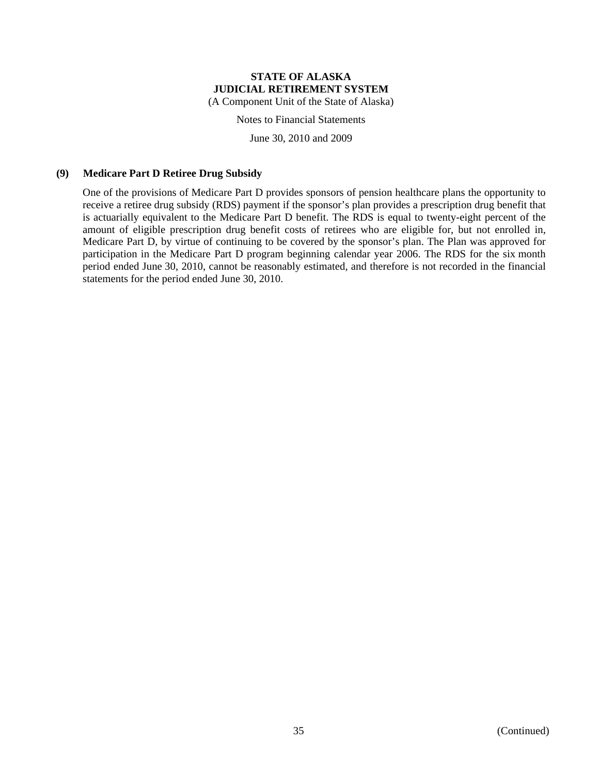(A Component Unit of the State of Alaska)

Notes to Financial Statements

June 30, 2010 and 2009

#### **(9) Medicare Part D Retiree Drug Subsidy**

One of the provisions of Medicare Part D provides sponsors of pension healthcare plans the opportunity to receive a retiree drug subsidy (RDS) payment if the sponsor's plan provides a prescription drug benefit that is actuarially equivalent to the Medicare Part D benefit. The RDS is equal to twenty-eight percent of the amount of eligible prescription drug benefit costs of retirees who are eligible for, but not enrolled in, Medicare Part D, by virtue of continuing to be covered by the sponsor's plan. The Plan was approved for participation in the Medicare Part D program beginning calendar year 2006. The RDS for the six month period ended June 30, 2010, cannot be reasonably estimated, and therefore is not recorded in the financial statements for the period ended June 30, 2010.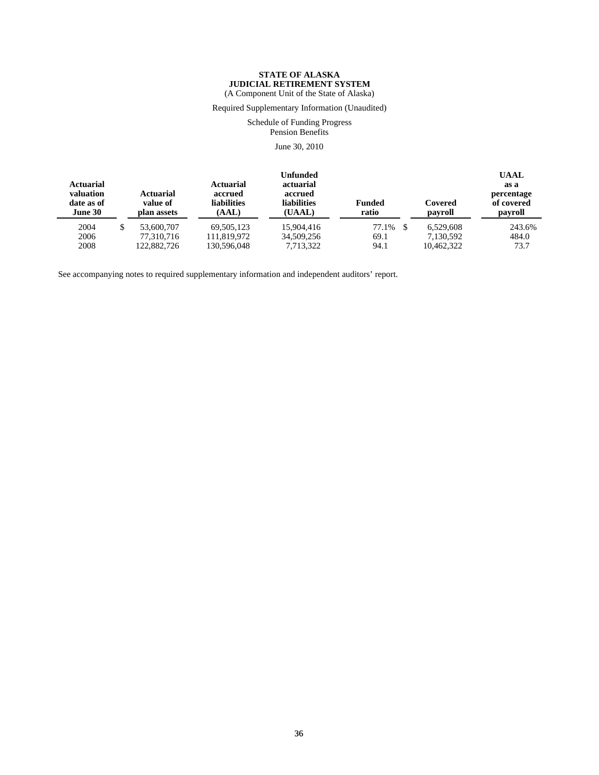#### **STATE OF ALASKA JUDICIAL RETIREMENT SYSTEM** (A Component Unit of the State of Alaska)

Required Supplementary Information (Unaudited)

Schedule of Funding Progress Pension Benefits

June 30, 2010

| <b>Actuarial</b><br>valuation<br>date as of<br>June 30 | <b>Actuarial</b><br>value of<br>plan assets | <b>Actuarial</b><br>accrued<br><b>liabilities</b><br>(AAL) | Unfunded<br>actuarial<br>accrued<br><b>liabilities</b><br>(UAAL) | Funded<br>ratio | Covered<br>payroll | <b>UAAL</b><br>as a<br>percentage<br>of covered<br>payroll |
|--------------------------------------------------------|---------------------------------------------|------------------------------------------------------------|------------------------------------------------------------------|-----------------|--------------------|------------------------------------------------------------|
| 2004                                                   | 53,600,707                                  | 69.505.123                                                 | 15,904,416                                                       | 77.1%           | 6.529.608          | 243.6%                                                     |
| 2006                                                   | 77.310.716                                  | 111.819.972                                                | 34,509,256                                                       | 69.1            | 7.130.592          | 484.0                                                      |
| 2008                                                   | 122,882,726                                 | 130,596,048                                                | 7,713,322                                                        | 94.1            | 10,462,322         | 73.7                                                       |

See accompanying notes to required supplementary information and independent auditors' report.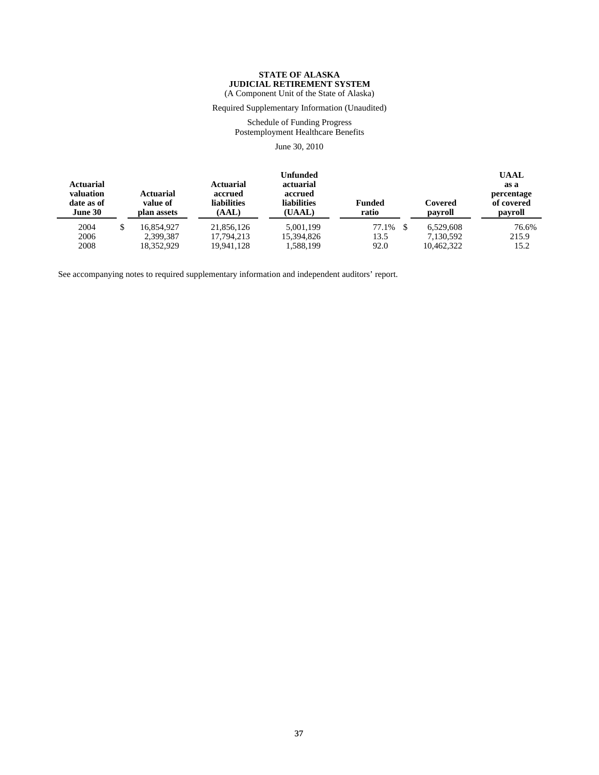#### **STATE OF ALASKA JUDICIAL RETIREMENT SYSTEM** (A Component Unit of the State of Alaska)

Required Supplementary Information (Unaudited)

Schedule of Funding Progress Postemployment Healthcare Benefits

June 30, 2010

| <b>Actuarial</b><br>valuation<br>date as of<br>June 30 | <b>Actuarial</b><br>value of<br>plan assets | <b>Actuarial</b><br>accrued<br><b>liabilities</b><br>(AAL) | Unfunded<br>actuarial<br>accrued<br><b>liabilities</b><br>(UAAL) | <b>Funded</b><br>ratio | Covered<br>payroll | <b>UAAL</b><br>as a<br>percentage<br>of covered<br>payroll |
|--------------------------------------------------------|---------------------------------------------|------------------------------------------------------------|------------------------------------------------------------------|------------------------|--------------------|------------------------------------------------------------|
| 2004                                                   | 16.854.927                                  | 21,856,126                                                 | 5,001,199                                                        | 77.1%                  | 6.529.608          | 76.6%                                                      |
| 2006                                                   | 2,399,387                                   | 17.794.213                                                 | 15,394,826                                                       | 13.5                   | 7,130,592          | 215.9                                                      |
| 2008                                                   | 18.352.929                                  | 19.941.128                                                 | 1,588,199                                                        | 92.0                   | 10.462.322         | 15.2                                                       |

See accompanying notes to required supplementary information and independent auditors' report.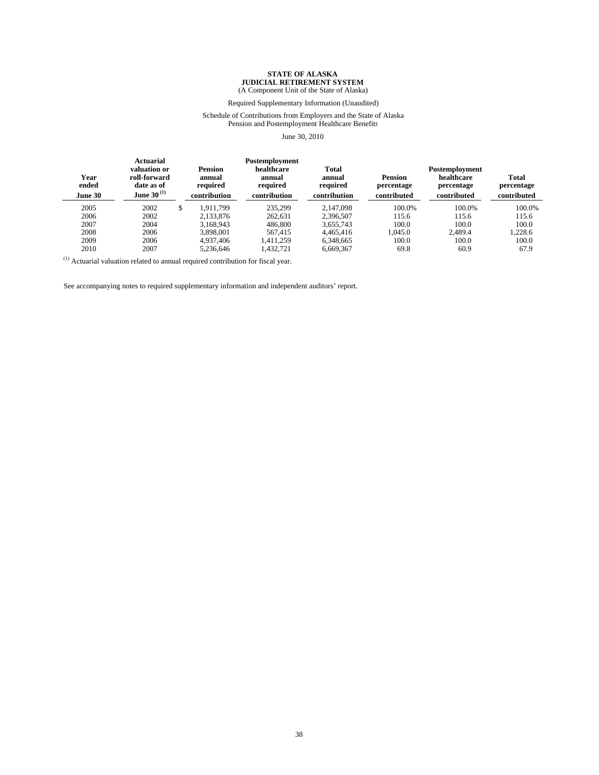#### (A Component Unit of the State of Alaska)

#### Required Supplementary Information (Unaudited)

#### Schedule of Contributions from Employers and the State of Alaska Pension and Postemployment Healthcare Benefits

#### June 30, 2010

| Year<br>ended<br><b>June 30</b> | <b>Actuarial</b><br>valuation or<br>roll-forward<br>date as of<br>June 30 $^{\rm (1)}$ | <b>Pension</b><br>annual<br>required<br>contribution | Postemployment<br>healthcare<br>annual<br>required<br>contribution | <b>Total</b><br>annual<br>required<br>contribution | <b>Pension</b><br>percentage<br>contributed | Postemployment<br>healthcare<br>percentage<br>contributed | Total<br>percentage<br>contributed |
|---------------------------------|----------------------------------------------------------------------------------------|------------------------------------------------------|--------------------------------------------------------------------|----------------------------------------------------|---------------------------------------------|-----------------------------------------------------------|------------------------------------|
| 2005                            | 2002                                                                                   | \$<br>1.911.799                                      | 235.299                                                            | 2.147.098                                          | 100.0%                                      | 100.0%                                                    | 100.0%                             |
| 2006                            | 2002                                                                                   | 2.133.876                                            | 262.631                                                            | 2.396.507                                          | 115.6                                       | 115.6                                                     | 115.6                              |
| 2007                            | 2004                                                                                   | 3.168.943                                            | 486,800                                                            | 3.655.743                                          | 100.0                                       | 100.0                                                     | 100.0                              |
| 2008                            | 2006                                                                                   | 3.898.001                                            | 567.415                                                            | 4.465.416                                          | 1.045.0                                     | 2.489.4                                                   | 1.228.6                            |
| 2009                            | 2006                                                                                   | 4,937,406                                            | 1.411.259                                                          | 6.348.665                                          | 100.0                                       | 100.0                                                     | 100.0                              |
| 2010                            | 2007                                                                                   | 5.236.646                                            | 1.432.721                                                          | 6.669.367                                          | 69.8                                        | 60.9                                                      | 67.9                               |

 $^{\left(1\right)}$  Actuarial valuation related to annual required contribution for fiscal year.

See accompanying notes to required supplementary information and independent auditors' report.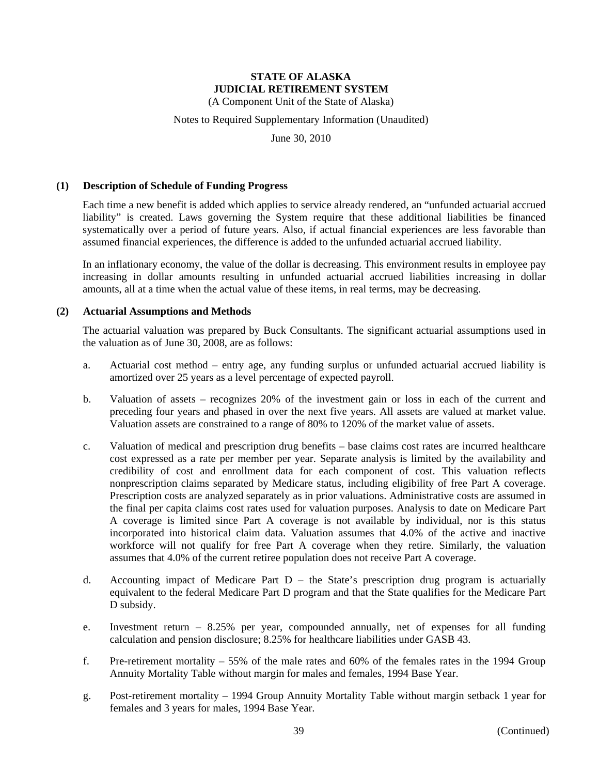(A Component Unit of the State of Alaska)

#### Notes to Required Supplementary Information (Unaudited)

June 30, 2010

#### **(1) Description of Schedule of Funding Progress**

Each time a new benefit is added which applies to service already rendered, an "unfunded actuarial accrued liability" is created. Laws governing the System require that these additional liabilities be financed systematically over a period of future years. Also, if actual financial experiences are less favorable than assumed financial experiences, the difference is added to the unfunded actuarial accrued liability.

In an inflationary economy, the value of the dollar is decreasing. This environment results in employee pay increasing in dollar amounts resulting in unfunded actuarial accrued liabilities increasing in dollar amounts, all at a time when the actual value of these items, in real terms, may be decreasing.

#### **(2) Actuarial Assumptions and Methods**

The actuarial valuation was prepared by Buck Consultants. The significant actuarial assumptions used in the valuation as of June 30, 2008, are as follows:

- a. Actuarial cost method entry age, any funding surplus or unfunded actuarial accrued liability is amortized over 25 years as a level percentage of expected payroll.
- b. Valuation of assets recognizes 20% of the investment gain or loss in each of the current and preceding four years and phased in over the next five years. All assets are valued at market value. Valuation assets are constrained to a range of 80% to 120% of the market value of assets.
- c. Valuation of medical and prescription drug benefits base claims cost rates are incurred healthcare cost expressed as a rate per member per year. Separate analysis is limited by the availability and credibility of cost and enrollment data for each component of cost. This valuation reflects nonprescription claims separated by Medicare status, including eligibility of free Part A coverage. Prescription costs are analyzed separately as in prior valuations. Administrative costs are assumed in the final per capita claims cost rates used for valuation purposes. Analysis to date on Medicare Part A coverage is limited since Part A coverage is not available by individual, nor is this status incorporated into historical claim data. Valuation assumes that 4.0% of the active and inactive workforce will not qualify for free Part A coverage when they retire. Similarly, the valuation assumes that 4.0% of the current retiree population does not receive Part A coverage.
- d. Accounting impact of Medicare Part D the State's prescription drug program is actuarially equivalent to the federal Medicare Part D program and that the State qualifies for the Medicare Part D subsidy.
- e. Investment return 8.25% per year, compounded annually, net of expenses for all funding calculation and pension disclosure; 8.25% for healthcare liabilities under GASB 43.
- f. Pre-retirement mortality 55% of the male rates and 60% of the females rates in the 1994 Group Annuity Mortality Table without margin for males and females, 1994 Base Year.
- g. Post-retirement mortality 1994 Group Annuity Mortality Table without margin setback 1 year for females and 3 years for males, 1994 Base Year.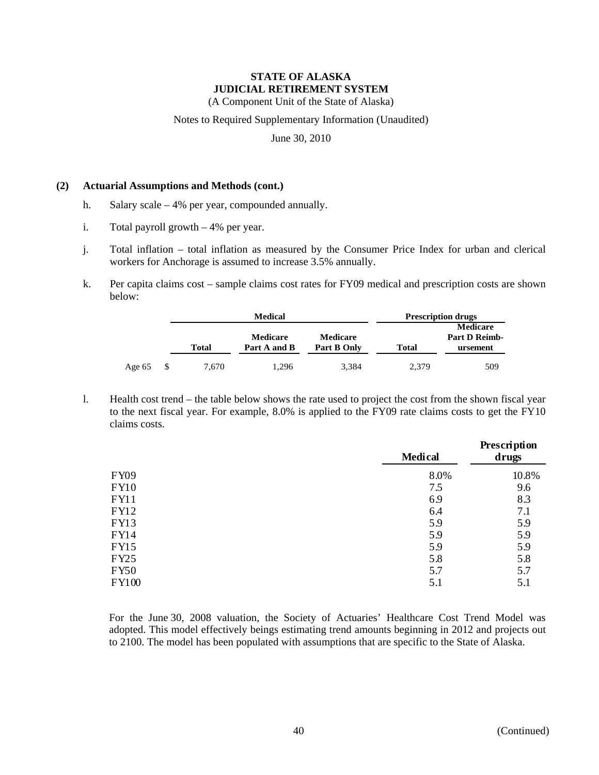(A Component Unit of the State of Alaska)

Notes to Required Supplementary Information (Unaudited)

June 30, 2010

#### **(2) Actuarial Assumptions and Methods (cont.)**

- h. Salary scale 4% per year, compounded annually.
- i. Total payroll growth 4% per year.
- j. Total inflation total inflation as measured by the Consumer Price Index for urban and clerical workers for Anchorage is assumed to increase 3.5% annually.
- k. Per capita claims cost sample claims cost rates for FY09 medical and prescription costs are shown below:

|          |       | <b>Medical</b>  |                 | <b>Prescription drugs</b> |                      |  |
|----------|-------|-----------------|-----------------|---------------------------|----------------------|--|
|          |       |                 |                 |                           | <b>Medicare</b>      |  |
|          |       | <b>Medicare</b> | <b>Medicare</b> |                           | <b>Part D Reimb-</b> |  |
|          | Total | Part A and B    | Part B Only     | Total                     | ursement             |  |
| Age $65$ | 7,670 | 1.296           | 3,384           | 2.379                     | 509                  |  |

l. Health cost trend – the table below shows the rate used to project the cost from the shown fiscal year to the next fiscal year. For example, 8.0% is applied to the FY09 rate claims costs to get the FY10 claims costs.

|             | <b>Medical</b> | Prescription<br>drugs |  |
|-------------|----------------|-----------------------|--|
| FY09        | 8.0%           | 10.8%                 |  |
| <b>FY10</b> | 7.5            | 9.6                   |  |
| <b>FY11</b> | 6.9            | 8.3                   |  |
| <b>FY12</b> | 6.4            | 7.1                   |  |
| <b>FY13</b> | 5.9            | 5.9                   |  |
| FY14        | 5.9            | 5.9                   |  |
| <b>FY15</b> | 5.9            | 5.9                   |  |
| FY25        | 5.8            | 5.8                   |  |
| <b>FY50</b> | 5.7            | 5.7                   |  |
| FY100       | 5.1            | 5.1                   |  |

For the June 30, 2008 valuation, the Society of Actuaries' Healthcare Cost Trend Model was adopted. This model effectively beings estimating trend amounts beginning in 2012 and projects out to 2100. The model has been populated with assumptions that are specific to the State of Alaska.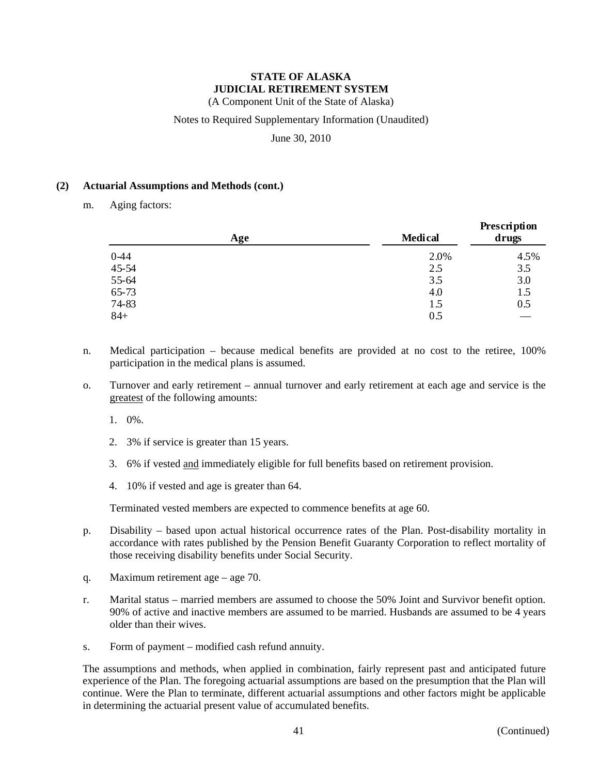(A Component Unit of the State of Alaska)

### Notes to Required Supplementary Information (Unaudited)

June 30, 2010

#### **(2) Actuarial Assumptions and Methods (cont.)**

m. Aging factors:

| Age             |  | <b>Medical</b> | Prescription<br>drugs |  |
|-----------------|--|----------------|-----------------------|--|
|                 |  | 2.0%           | 4.5%                  |  |
| $0-44$<br>45-54 |  | 2.5            | 3.5                   |  |
| 55-64           |  | 3.5            | 3.0                   |  |
| 65-73           |  | 4.0            | 1.5                   |  |
| 74-83           |  | 1.5            | 0.5                   |  |
| $84+$           |  | 0.5            |                       |  |

- n. Medical participation because medical benefits are provided at no cost to the retiree, 100% participation in the medical plans is assumed.
- o. Turnover and early retirement annual turnover and early retirement at each age and service is the greatest of the following amounts:
	- 1. 0%.
	- 2. 3% if service is greater than 15 years.
	- 3. 6% if vested and immediately eligible for full benefits based on retirement provision.
	- 4. 10% if vested and age is greater than 64.

Terminated vested members are expected to commence benefits at age 60.

- p. Disability based upon actual historical occurrence rates of the Plan. Post-disability mortality in accordance with rates published by the Pension Benefit Guaranty Corporation to reflect mortality of those receiving disability benefits under Social Security.
- q. Maximum retirement age age 70.
- r. Marital status married members are assumed to choose the 50% Joint and Survivor benefit option. 90% of active and inactive members are assumed to be married. Husbands are assumed to be 4 years older than their wives.
- s. Form of payment modified cash refund annuity.

The assumptions and methods, when applied in combination, fairly represent past and anticipated future experience of the Plan. The foregoing actuarial assumptions are based on the presumption that the Plan will continue. Were the Plan to terminate, different actuarial assumptions and other factors might be applicable in determining the actuarial present value of accumulated benefits.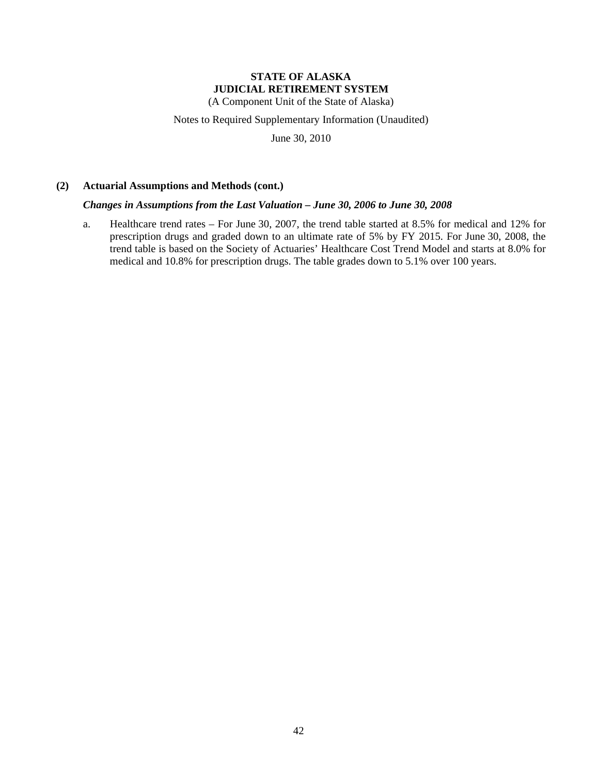(A Component Unit of the State of Alaska)

Notes to Required Supplementary Information (Unaudited)

June 30, 2010

#### **(2) Actuarial Assumptions and Methods (cont.)**

#### *Changes in Assumptions from the Last Valuation – June 30, 2006 to June 30, 2008*

a. Healthcare trend rates – For June 30, 2007, the trend table started at 8.5% for medical and 12% for prescription drugs and graded down to an ultimate rate of 5% by FY 2015. For June 30, 2008, the trend table is based on the Society of Actuaries' Healthcare Cost Trend Model and starts at 8.0% for medical and 10.8% for prescription drugs. The table grades down to 5.1% over 100 years.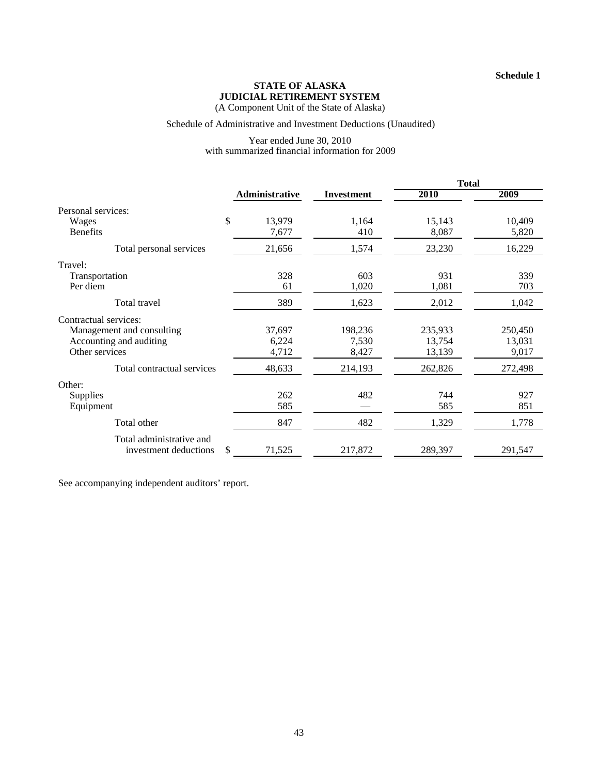**Schedule 1**

### **STATE OF ALASKA JUDICIAL RETIREMENT SYSTEM**

(A Component Unit of the State of Alaska)

### Schedule of Administrative and Investment Deductions (Unaudited)

#### Year ended June 30, 2010 with summarized financial information for 2009

|                                                                        |                          |                           | <b>Total</b>                |                            |  |
|------------------------------------------------------------------------|--------------------------|---------------------------|-----------------------------|----------------------------|--|
|                                                                        | Administrative           | <b>Investment</b>         | 2010                        | 2009                       |  |
| Personal services:                                                     |                          |                           |                             |                            |  |
| \$<br>Wages<br><b>Benefits</b>                                         | 13,979<br>7,677          | 1,164<br>410              | 15,143<br>8,087             | 10,409<br>5,820            |  |
| Total personal services                                                | 21,656                   | 1,574                     | 23,230                      | 16,229                     |  |
| Travel:                                                                |                          |                           |                             |                            |  |
| Transportation<br>Per diem                                             | 328<br>61                | 603<br>1,020              | 931<br>1,081                | 339<br>703                 |  |
| Total travel                                                           | 389                      | 1,623                     | 2,012                       | 1,042                      |  |
| Contractual services:                                                  |                          |                           |                             |                            |  |
| Management and consulting<br>Accounting and auditing<br>Other services | 37,697<br>6,224<br>4,712 | 198,236<br>7,530<br>8,427 | 235,933<br>13,754<br>13,139 | 250,450<br>13,031<br>9,017 |  |
| Total contractual services                                             | 48,633                   | 214,193                   | 262,826                     | 272,498                    |  |
| Other:                                                                 |                          |                           |                             |                            |  |
| Supplies<br>Equipment                                                  | 262<br>585               | 482                       | 744<br>585                  | 927<br>851                 |  |
| Total other                                                            | 847                      | 482                       | 1,329                       | 1,778                      |  |
| Total administrative and<br>\$<br>investment deductions                | 71,525                   | 217,872                   | 289,397                     | 291,547                    |  |

See accompanying independent auditors' report.